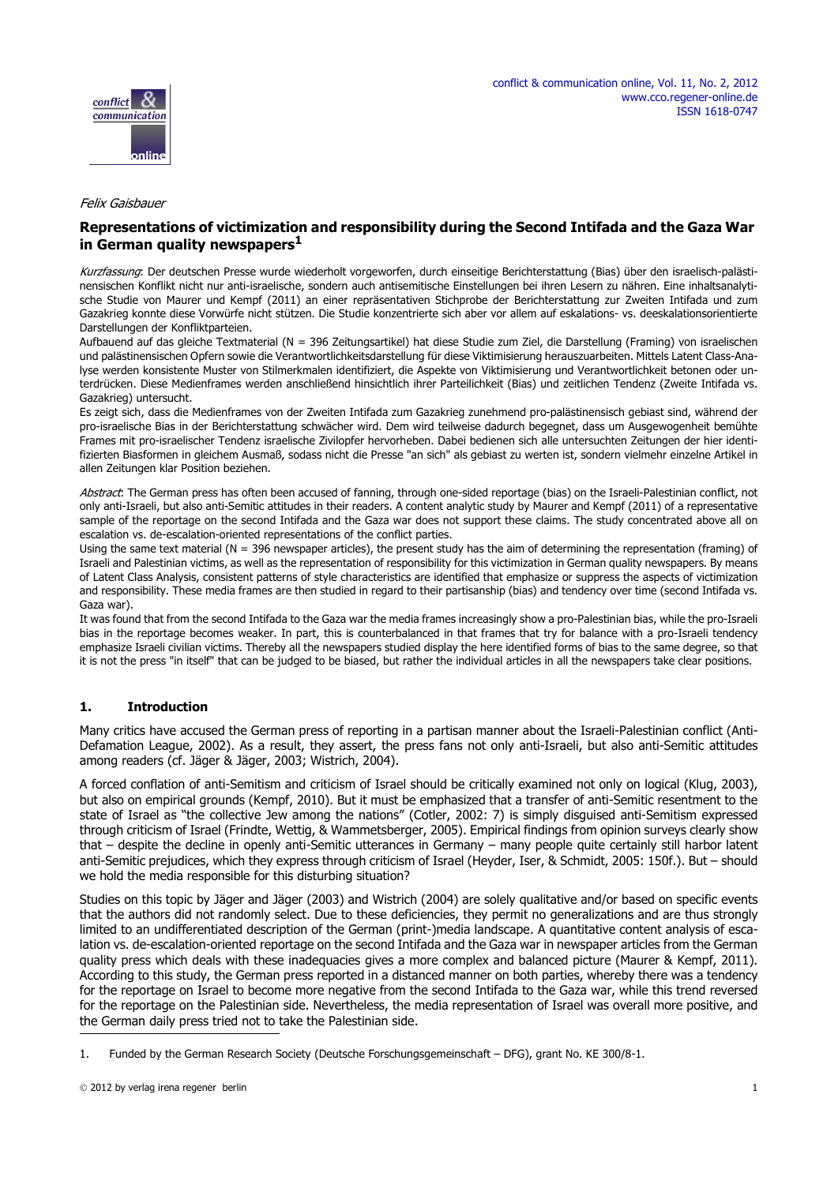



#### Felix Gaisbauer

## **Representations of victimization and responsibility during the Second Intifada and the Gaza War in German quality newspapers1**

Kurzfassung: Der deutschen Presse wurde wiederholt vorgeworfen, durch einseitige Berichterstattung (Bias) über den israelisch-palästinensischen Konflikt nicht nur anti-israelische, sondern auch antisemitische Einstellungen bei ihren Lesern zu nähren. Eine inhaltsanalytische Studie von Maurer und Kempf (2011) an einer repräsentativen Stichprobe der Berichterstattung zur Zweiten Intifada und zum Gazakrieg konnte diese Vorwürfe nicht stützen. Die Studie konzentrierte sich aber vor allem auf eskalations- vs. deeskalationsorientierte Darstellungen der Konfliktparteien.

Aufbauend auf das gleiche Textmaterial (N = 396 Zeitungsartikel) hat diese Studie zum Ziel, die Darstellung (Framing) von israelischen und palästinensischen Opfern sowie die Verantwortlichkeitsdarstellung für diese Viktimisierung herauszuarbeiten. Mittels Latent Class-Analyse werden konsistente Muster von Stilmerkmalen identifiziert, die Aspekte von Viktimisierung und Verantwortlichkeit betonen oder unterdrücken. Diese Medienframes werden anschließend hinsichtlich ihrer Parteilichkeit (Bias) und zeitlichen Tendenz (Zweite Intifada vs. Gazakrieg) untersucht.

Es zeigt sich, dass die Medienframes von der Zweiten Intifada zum Gazakrieg zunehmend pro-palästinensisch gebiast sind, während der pro-israelische Bias in der Berichterstattung schwächer wird. Dem wird teilweise dadurch begegnet, dass um Ausgewogenheit bemühte Frames mit pro-israelischer Tendenz israelische Zivilopfer hervorheben. Dabei bedienen sich alle untersuchten Zeitungen der hier identifizierten Biasformen in gleichem Ausmaß, sodass nicht die Presse "an sich" als gebiast zu werten ist, sondern vielmehr einzelne Artikel in allen Zeitungen klar Position beziehen.

Abstract: The German press has often been accused of fanning, through one-sided reportage (bias) on the Israeli-Palestinian conflict, not only anti-Israeli, but also anti-Semitic attitudes in their readers. A content analytic study by Maurer and Kempf (2011) of a representative sample of the reportage on the second Intifada and the Gaza war does not support these claims. The study concentrated above all on escalation vs. de-escalation-oriented representations of the conflict parties.

Using the same text material (N = 396 newspaper articles), the present study has the aim of determining the representation (framing) of Israeli and Palestinian victims, as well as the representation of responsibility for this victimization in German quality newspapers. By means of Latent Class Analysis, consistent patterns of style characteristics are identified that emphasize or suppress the aspects of victimization and responsibility. These media frames are then studied in regard to their partisanship (bias) and tendency over time (second Intifada vs. Gaza war).

It was found that from the second Intifada to the Gaza war the media frames increasingly show a pro-Palestinian bias, while the pro-Israeli bias in the reportage becomes weaker. In part, this is counterbalanced in that frames that try for balance with a pro-Israeli tendency emphasize Israeli civilian victims. Thereby all the newspapers studied display the here identified forms of bias to the same degree, so that it is not the press "in itself" that can be judged to be biased, but rather the individual articles in all the newspapers take clear positions.

## **1. Introduction**

Many critics have accused the German press of reporting in a partisan manner about the Israeli-Palestinian conflict (Anti-Defamation League, 2002). As a result, they assert, the press fans not only anti-Israeli, but also anti-Semitic attitudes among readers (cf. Jäger & Jäger, 2003; Wistrich, 2004).

A forced conflation of anti-Semitism and criticism of Israel should be critically examined not only on logical (Klug, 2003), but also on empirical grounds (Kempf, 2010). But it must be emphasized that a transfer of anti-Semitic resentment to the state of Israel as "the collective Jew among the nations" (Cotler, 2002: 7) is simply disguised anti-Semitism expressed through criticism of Israel (Frindte, Wettig, & Wammetsberger, 2005). Empirical findings from opinion surveys clearly show that – despite the decline in openly anti-Semitic utterances in Germany – many people quite certainly still harbor latent anti-Semitic prejudices, which they express through criticism of Israel (Heyder, Iser, & Schmidt, 2005: 150f.). But – should we hold the media responsible for this disturbing situation?

Studies on this topic by Jäger and Jäger (2003) and Wistrich (2004) are solely qualitative and/or based on specific events that the authors did not randomly select. Due to these deficiencies, they permit no generalizations and are thus strongly limited to an undifferentiated description of the German (print-)media landscape. A quantitative content analysis of escalation vs. de-escalation-oriented reportage on the second Intifada and the Gaza war in newspaper articles from the German quality press which deals with these inadequacies gives a more complex and balanced picture (Maurer & Kempf, 2011). According to this study, the German press reported in a distanced manner on both parties, whereby there was a tendency for the reportage on Israel to become more negative from the second Intifada to the Gaza war, while this trend reversed for the reportage on the Palestinian side. Nevertheless, the media representation of Israel was overall more positive, and the German daily press tried not to take the Palestinian side.

<sup>1.</sup> Funded by the German Research Society (Deutsche Forschungsgemeinschaft – DFG), grant No. KE 300/8-1.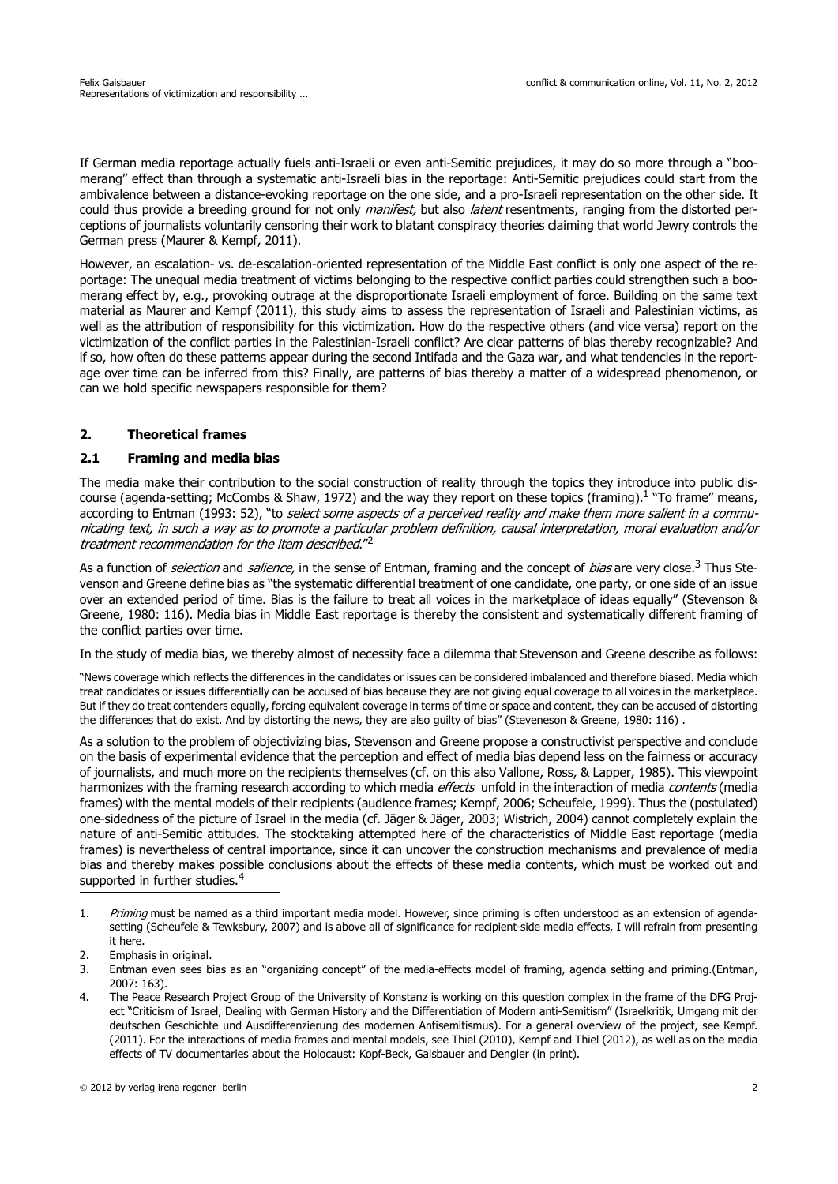If German media reportage actually fuels anti-Israeli or even anti-Semitic prejudices, it may do so more through a "boomerang" effect than through a systematic anti-Israeli bias in the reportage: Anti-Semitic prejudices could start from the ambivalence between a distance-evoking reportage on the one side, and a pro-Israeli representation on the other side. It could thus provide a breeding ground for not only *manifest*, but also *latent* resentments, ranging from the distorted perceptions of journalists voluntarily censoring their work to blatant conspiracy theories claiming that world Jewry controls the German press (Maurer & Kempf, 2011).

However, an escalation- vs. de-escalation-oriented representation of the Middle East conflict is only one aspect of the reportage: The unequal media treatment of victims belonging to the respective conflict parties could strengthen such a boomerang effect by, e.g., provoking outrage at the disproportionate Israeli employment of force. Building on the same text material as Maurer and Kempf (2011), this study aims to assess the representation of Israeli and Palestinian victims, as well as the attribution of responsibility for this victimization. How do the respective others (and vice versa) report on the victimization of the conflict parties in the Palestinian-Israeli conflict? Are clear patterns of bias thereby recognizable? And if so, how often do these patterns appear during the second Intifada and the Gaza war, and what tendencies in the reportage over time can be inferred from this? Finally, are patterns of bias thereby a matter of a widespread phenomenon, or can we hold specific newspapers responsible for them?

### **2. Theoretical frames**

### **2.1 Framing and media bias**

The media make their contribution to the social construction of reality through the topics they introduce into public discourse (agenda-setting; McCombs & Shaw, 1972) and the way they report on these topics (framing).<sup>1</sup> "To frame" means, according to Entman (1993: 52), "to select some aspects of a perceived reality and make them more salient in a communicating text, in such a way as to promote a particular problem definition, causal interpretation, moral evaluation and/or treatment recommendation for the item described."<sup>2</sup>

As a function of *selection* and *salience*, in the sense of Entman, framing and the concept of *bias* are very close.<sup>3</sup> Thus Ste[venson and Greene define bias as "the systematic differential treatment of one candidate, one party, or one side of an issue](http://cran.r-project.org/web/packages/irr/index.html) over an extended period of time. Bias is the failure to treat all voices in the marketplace of ideas equally" (Stevenson & Greene, 1980: 116). Media bias in Middle East reportage is thereby the consistent and systematically different framing of the conflict parties over time.

In the study of media bias, we thereby almost of necessity face a dilemma that Stevenson and Greene describe as follows:

"News coverage which reflects the differences in the candidates or issues can be considered imbalanced and therefore biased. Media which treat candidates or issues differentially can be accused of bias because they are not giving equal coverage to all voices in the marketplace. But if they do treat contenders equally, forcing equivalent coverage in terms of time or space and content, they can be accused of distorting the differences that do exist. And by distorting the news, they are also guilty of bias" (Steveneson & Greene, 1980: 116) .

As a solution to the problem of objectivizing bias, Stevenson and Greene propose a constructivist perspective and conclude on the basis of experimental evidence that the perception and effect of media bias depend less on the fairness or accuracy of journalists, and much more on the recipients themselves (cf. on this also Vallone, Ross, & Lapper, 1985). This viewpoint harmonizes with the framing research according to which media *effects* unfold in the interaction of media *contents* (media frames) with the mental models of their recipients (audience frames; Kempf, 2006; Scheufele, 1999). Thus the (postulated) one-sidedness of the picture of Israel in the media (cf. Jäger & Jäger, 2003; Wistrich, 2004) cannot completely explain the nature of anti-Semitic attitudes. The stocktaking attempted here of the characteristics of Middle East reportage (media frames) is nevertheless of central importance, since it can uncover the construction mechanisms and prevalence of media bias and thereby makes possible conclusions about the effects of these media contents, which must be worked out and supported in further studies.<sup>4</sup>

- [3. Entman even sees bias as an "organizing concept" of the media-effects model of framing, agenda setting and priming.\(Entman,](http://cran.r-project.org/web/packages/irr/index.html) 2007: 163).
- 4. The Peace Research Project Group of the University of Konstanz is working on this question complex in the frame of the DFG Project "Criticism of Israel, Dealing with German History and the Differentiation of Modern anti-Semitism" (Israelkritik, Umgang mit der deutschen Geschichte und Ausdifferenzierung des modernen Antisemitismus). For a general overview of the project, see Kempf. (2011). For the interactions of media frames and mental models, see Thiel (2010), Kempf and Thiel (2012), as well as on the media effects of TV documentaries about the Holocaust: Kopf-Beck, Gaisbauer and Dengler (in print).

<sup>1.</sup> Priming must be named as a third important media model. However, since priming is often understood as an extension of agendasetting (Scheufele & Tewksbury, 2007) and is above all of significance for recipient-side media effects, I will refrain from presenting it here.

<sup>2.</sup> Emphasis in original.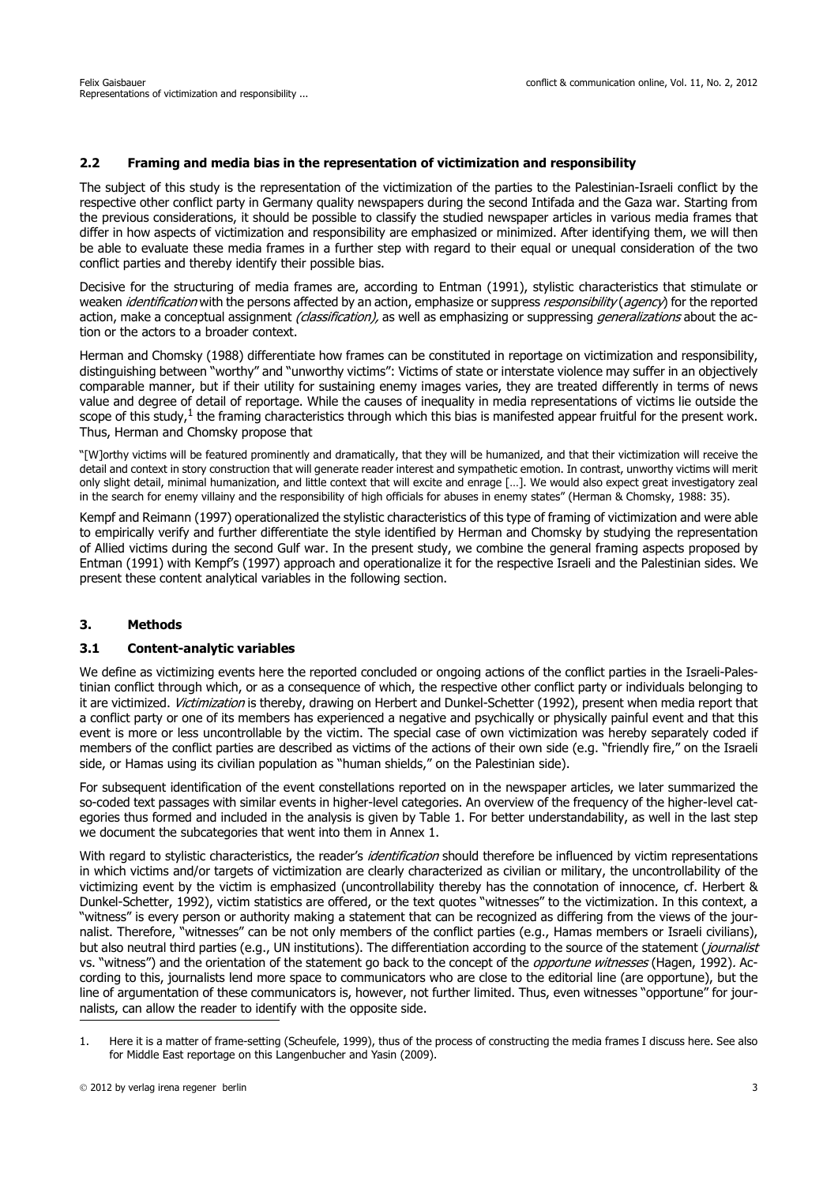## **2.2 Framing and media bias in the representation of victimization and responsibility**

The subject of this study is the representation of the victimization of the parties to the Palestinian-Israeli conflict by the respective other conflict party in Germany quality newspapers during the second Intifada and the Gaza war. Starting from the previous considerations, it should be possible to classify the studied newspaper articles in various media frames that differ in how aspects of victimization and responsibility are emphasized or minimized. After identifying them, we will then be able to evaluate these media frames in a further step with regard to their equal or unequal consideration of the two conflict parties and thereby identify their possible bias.

Decisive for the structuring of media frames are, according to Entman (1991), stylistic characteristics that stimulate or weaken *identification* with the persons affected by an action, emphasize or suppress *responsibility (agency*) for the reported action, make a conceptual assignment *(classification)*, as well as emphasizing or suppressing *generalizations* about the action or the actors to a broader context.

Herman and Chomsky (1988) differentiate how frames can be constituted in reportage on victimization and responsibility, distinguishing between "worthy" and "unworthy victims": Victims of state or interstate violence may suffer in an objectively comparable manner, but if their utility for sustaining enemy images varies, they are treated differently in terms of news value and degree of detail of reportage. While the causes of inequality in media representations of victims lie outside the scope of this study, $1$  the framing characteristics through which this bias is manifested appear fruitful for the present work. Thus, Herman and Chomsky propose that

"[W]orthy victims will be featured prominently and dramatically, that they will be humanized, and that their victimization will receive the detail and context in story construction that will generate reader interest and sympathetic emotion. In contrast, unworthy victims will merit only slight detail, minimal humanization, and little context that will excite and enrage […]. We would also expect great investigatory zeal in the search for enemy villainy and the responsibility of high officials for abuses in enemy states" (Herman & Chomsky, 1988: 35).

Kempf and Reimann (1997) operationalized the stylistic characteristics of this type of framing of victimization and were able to empirically verify and further differentiate the style identified by Herman and Chomsky by studying the representation of Allied victims during the second Gulf war. In the present study, we combine the general framing aspects proposed by Entman (1991) with Kempf's (1997) approach and operationalize it for the respective Israeli and the Palestinian sides. We present these content analytical variables in the following section.

#### **3. Methods**

#### **3.1 Content-analytic variables**

We define as victimizing events here the reported concluded or ongoing actions of the conflict parties in the Israeli-Palestinian conflict through which, or as a consequence of which, the respective other conflict party or individuals belonging to it are victimized. Victimization is thereby, drawing on Herbert and Dunkel-Schetter (1992), present when media report that a conflict party or one of its members has experienced a negative and psychically or physically painful event and that this event is more or less uncontrollable by the victim. The special case of own victimization was hereby separately coded if members of the conflict parties are described as victims of the actions of their own side (e.g. "friendly fire," on the Israeli side, or Hamas using its civilian population as "human shields," on the Palestinian side).

For subsequent identification of the event constellations reported on in the newspaper articles, we later summarized the so-coded text passages with similar events in higher-level categories. An overview of the frequency of the higher-level categories thus formed and included in the analysis is given by Table 1. For better understandability, as well in the last step we document the subcategories that went into them in Annex 1.

With regard to stylistic characteristics, the reader's *identification* should therefore be influenced by victim representations in which victims and/or targets of victimization are clearly characterized as civilian or military, the uncontrollability of the victimizing event by the victim is emphasized (uncontrollability thereby has the connotation of innocence, cf. Herbert & Dunkel-Schetter, 1992), victim statistics are offered, or the text quotes "witnesses" to the victimization. In this context, a "witness" is every person or authority making a statement that can be recognized as differing from the views of the journalist. Therefore, "witnesses" can be not only members of the conflict parties (e.g., Hamas members or Israeli civilians), but also neutral third parties (e.g., UN institutions). The differentiation according to the source of the statement (journalist vs. "witness") and the orientation of the statement go back to the concept of the *opportune witnesses* (Hagen, 1992). According to this, journalists lend more space to communicators who are close to the editorial line (are opportune), but the line of argumentation of these communicators is, however, not further limited. Thus, even witnesses "opportune" for journalists, can allow the reader to identify with the opposite side.

<sup>1.</sup> Here it is a matter of frame-setting (Scheufele, 1999), thus of the process of constructing the media frames I discuss here. See also for Middle East reportage on this Langenbucher and Yasin (2009).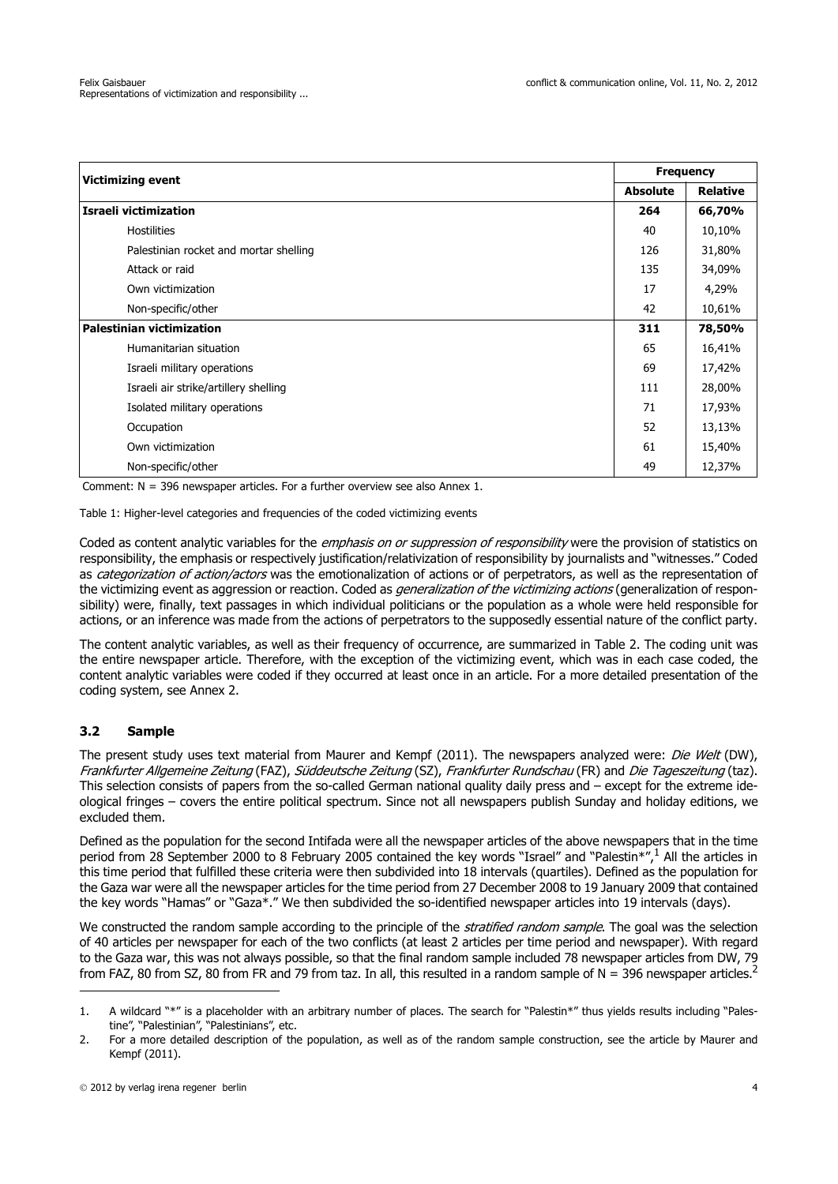| <b>Victimizing event</b>               |                 | <b>Frequency</b> |  |
|----------------------------------------|-----------------|------------------|--|
|                                        | <b>Absolute</b> | <b>Relative</b>  |  |
| Israeli victimization                  | 264             | 66,70%           |  |
| <b>Hostilities</b>                     | 40              | 10,10%           |  |
| Palestinian rocket and mortar shelling | 126             | 31,80%           |  |
| Attack or raid                         | 135             | 34,09%           |  |
| Own victimization                      | 17              | 4,29%            |  |
| Non-specific/other                     | 42              | 10,61%           |  |
| <b>Palestinian victimization</b>       |                 | 78,50%           |  |
| Humanitarian situation                 | 65              | 16,41%           |  |
| Israeli military operations            | 69              | 17,42%           |  |
| Israeli air strike/artillery shelling  | 111             | 28,00%           |  |
| Isolated military operations           | 71              | 17,93%           |  |
| Occupation                             | 52              | 13,13%           |  |
| Own victimization                      | 61              | 15,40%           |  |
| Non-specific/other                     | 49              | 12,37%           |  |

Comment: N = 396 newspaper articles. For a further overview see also Annex 1.

Table 1: Higher-level categories and frequencies of the coded victimizing events

Coded as content analytic variables for the *emphasis on or suppression of responsibility* were the provision of statistics on responsibility, the emphasis or respectively justification/relativization of responsibility by journalists and "witnesses." Coded as categorization of action/actors was the emotionalization of actions or of perpetrators, as well as the representation of the victimizing event as aggression or reaction. Coded as *generalization of the victimizing actions* (generalization of responsibility) were, finally, text passages in which individual politicians or the population as a whole were held responsible for actions, or an inference was made from the actions of perpetrators to the supposedly essential nature of the conflict party.

The content analytic variables, as well as their frequency of occurrence, are summarized in Table 2. The coding unit was the entire newspaper article. Therefore, with the exception of the victimizing event, which was in each case coded, the content analytic variables were coded if they occurred at least once in an article. For a more detailed presentation of the coding system, see Annex 2.

# **3.2 Sample**

The present study uses text material from Maurer and Kempf (2011). The newspapers analyzed were: Die Welt (DW), Frankfurter Allgemeine Zeitung (FAZ), Süddeutsche Zeitung (SZ), Frankfurter Rundschau (FR) and Die Tageszeitung (taz). This selection consists of papers from the so-called German national quality daily press and – except for the extreme ideological fringes – covers the entire political spectrum. Since not all newspapers publish Sunday and holiday editions, we excluded them.

Defined as the population for the second Intifada were all the newspaper articles of the above newspapers that in the time period from 28 September 2000 to 8 February 2005 contained the key words "Israel" and "Palestin\*",1 All the articles in this time period that fulfilled these criteria were then subdivided into 18 intervals (quartiles). Defined as the population for the Gaza war were all the newspaper articles for the time period from 27 December 2008 to 19 January 2009 that contained the key words "Hamas" or "Gaza\*." We then subdivided the so-identified newspaper articles into 19 intervals (days).

We constructed the random sample according to the principle of the *stratified random sample*. The goal was the selection of 40 articles per newspaper for each of the two conflicts (at least 2 articles per time period and newspaper). With regard to the Gaza war, this was not always possible, so that the final random sample included 78 newspaper articles from DW, 79 from FAZ, 80 from SZ, 80 from FR and 79 from taz. In all, this resulted in a random sample of  $N = 396$  newspaper articles.<sup>2</sup>

<sup>1.</sup> A wildcard "\*" is a placeholder with an arbitrary number of places. The search for "Palestin\*" thus yields results including "Palestine", "Palestinian", "Palestinians", etc.

<sup>2.</sup> For a more detailed description of the population, as well as of the random sample construction, see the article by Maurer and Kempf (2011).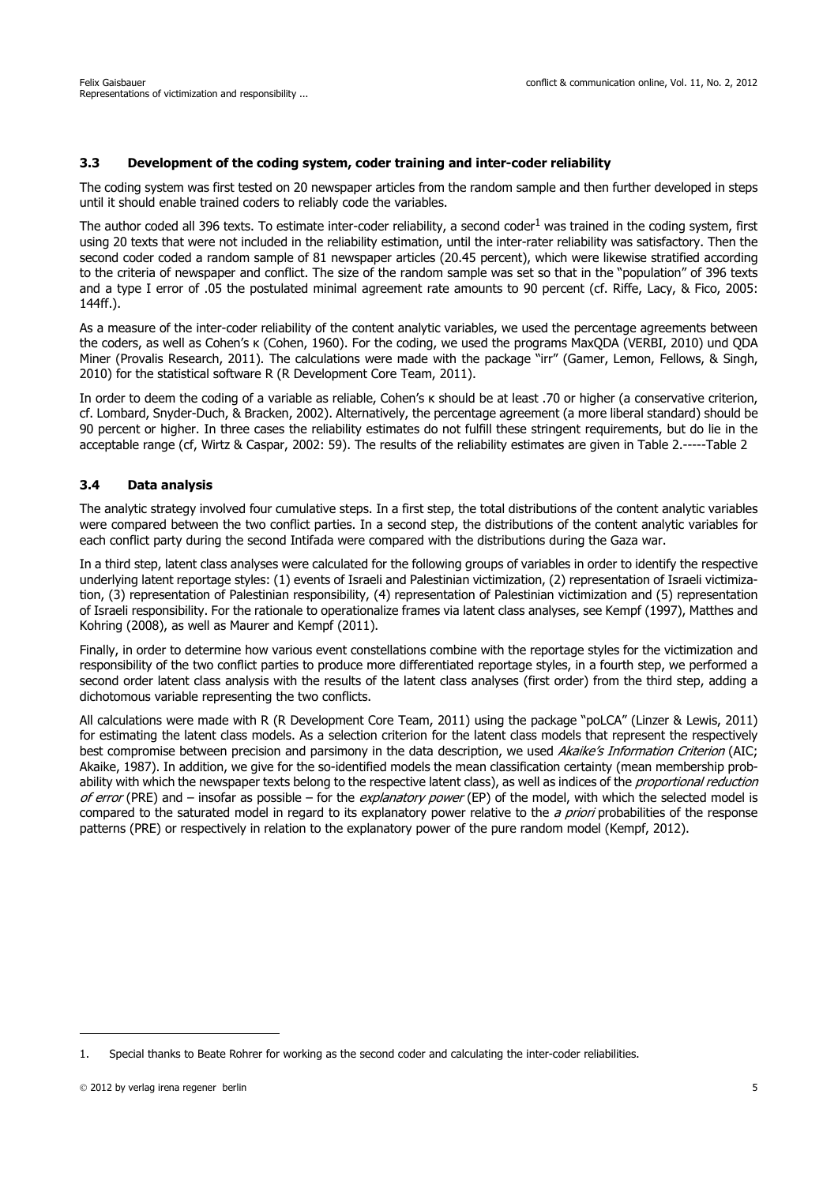## **3.3 Development of the coding system, coder training and inter-coder reliability**

The coding system was first tested on 20 newspaper articles from the random sample and then further developed in steps until it should enable trained coders to reliably code the variables.

The author coded all 396 texts. To estimate inter-coder reliability, a second coder<sup>1</sup> was trained in the coding system, first using 20 texts that were not included in the reliability estimation, until the inter-rater reliability was satisfactory. Then the second coder coded a random sample of 81 newspaper articles (20.45 percent), which were likewise stratified according to the criteria of newspaper and conflict. The size of the random sample was set so that in the "population" of 396 texts and a type I error of .05 the postulated minimal agreement rate amounts to 90 percent (cf. Riffe, Lacy, & Fico, 2005: 144ff.).

As a measure of the inter-coder reliability of the content analytic variables, we used the percentage agreements between the coders, as well as Cohen's κ (Cohen, 1960). For the coding, we used the programs MaxQDA (VERBI, 2010) und QDA Miner (Provalis Research, 2011). The calculations were made with the package "irr" (Gamer, Lemon, Fellows, & Singh, 2010) for the statistical software R (R Development Core Team, 2011).

In order to deem the coding of a variable as reliable, Cohen's κ should be at least .70 or higher (a conservative criterion, cf. Lombard, Snyder-Duch, & Bracken, 2002). Alternatively, the percentage agreement (a more liberal standard) should be 90 percent or higher. In three cases the reliability estimates do not fulfill these stringent requirements, but do lie in the acceptable range (cf, Wirtz & Caspar, 2002: 59). The results of the reliability estimates are given in Table 2.-----Table 2

### **3.4 Data analysis**

The analytic strategy involved four cumulative steps. In a first step, the total distributions of the content analytic variables were compared between the two conflict parties. In a second step, the distributions of the content analytic variables for each conflict party during the second Intifada were compared with the distributions during the Gaza war.

In a third step, latent class analyses were calculated for the following groups of variables in order to identify the respective underlying latent reportage styles: (1) events of Israeli and Palestinian victimization, (2) representation of Israeli victimization, (3) representation of Palestinian responsibility, (4) representation of Palestinian victimization and (5) representation of Israeli responsibility. For the rationale to operationalize frames via latent class analyses, see Kempf (1997), Matthes and Kohring (2008), as well as Maurer and Kempf (2011).

Finally, in order to determine how various event constellations combine with the reportage styles for the victimization and responsibility of the two conflict parties to produce more differentiated reportage styles, in a fourth step, we performed a second order latent class analysis with the results of the latent class analyses (first order) from the third step, adding a dichotomous variable representing the two conflicts.

All calculations were made with R (R Development Core Team, 2011) using the package "poLCA" (Linzer & Lewis, 2011) for estimating the latent class models. As a selection criterion for the latent class models that represent the respectively best compromise between precision and parsimony in the data description, we used Akaike's Information Criterion (AIC; Akaike, 1987). In addition, we give for the so-identified models the mean classification certainty (mean membership probability with which the newspaper texts belong to the respective latent class), as well as indices of the *proportional reduction* of error (PRE) and – insofar as possible – for the explanatory power (EP) of the model, with which the selected model is compared to the saturated model in regard to its explanatory power relative to the a priori probabilities of the response patterns (PRE) or respectively in relation to the explanatory power of the pure random model (Kempf, 2012).

<sup>1.</sup> Special thanks to Beate Rohrer for working as the second coder and calculating the inter-coder reliabilities.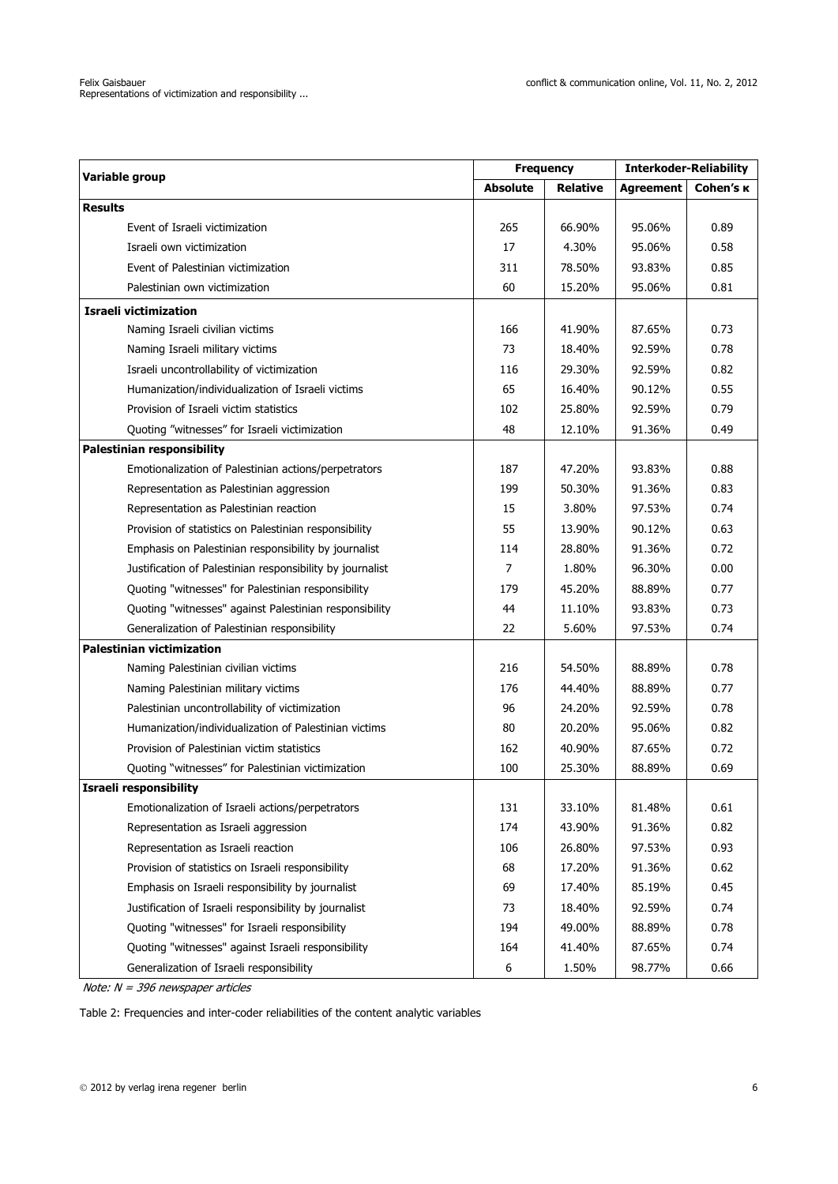| Variable group                                            |                 | <b>Frequency</b> |                  | <b>Interkoder-Reliability</b> |  |
|-----------------------------------------------------------|-----------------|------------------|------------------|-------------------------------|--|
|                                                           | <b>Absolute</b> | <b>Relative</b>  | <b>Agreement</b> | Cohen's <b>K</b>              |  |
| <b>Results</b>                                            |                 |                  |                  |                               |  |
| Event of Israeli victimization                            | 265             | 66.90%           | 95.06%           | 0.89                          |  |
| Israeli own victimization                                 | 17              | 4.30%            | 95.06%           | 0.58                          |  |
| Event of Palestinian victimization                        | 311             | 78.50%           | 93.83%           | 0.85                          |  |
| Palestinian own victimization                             | 60              | 15.20%           | 95.06%           | 0.81                          |  |
| <b>Israeli victimization</b>                              |                 |                  |                  |                               |  |
| Naming Israeli civilian victims                           | 166             | 41.90%           | 87.65%           | 0.73                          |  |
| Naming Israeli military victims                           | 73              | 18.40%           | 92.59%           | 0.78                          |  |
| Israeli uncontrollability of victimization                | 116             | 29.30%           | 92.59%           | 0.82                          |  |
| Humanization/individualization of Israeli victims         | 65              | 16.40%           | 90.12%           | 0.55                          |  |
| Provision of Israeli victim statistics                    | 102             | 25.80%           | 92.59%           | 0.79                          |  |
| Quoting "witnesses" for Israeli victimization             | 48              | 12.10%           | 91.36%           | 0.49                          |  |
| <b>Palestinian responsibility</b>                         |                 |                  |                  |                               |  |
| Emotionalization of Palestinian actions/perpetrators      | 187             | 47.20%           | 93.83%           | 0.88                          |  |
| Representation as Palestinian aggression                  | 199             | 50.30%           | 91.36%           | 0.83                          |  |
| Representation as Palestinian reaction                    | 15              | 3.80%            | 97.53%           | 0.74                          |  |
| Provision of statistics on Palestinian responsibility     | 55              | 13.90%           | 90.12%           | 0.63                          |  |
| Emphasis on Palestinian responsibility by journalist      | 114             | 28.80%           | 91.36%           | 0.72                          |  |
| Justification of Palestinian responsibility by journalist | $\overline{7}$  | 1.80%            | 96.30%           | 0.00                          |  |
| Quoting "witnesses" for Palestinian responsibility        | 179             | 45.20%           | 88.89%           | 0.77                          |  |
| Quoting "witnesses" against Palestinian responsibility    | 44              | 11.10%           | 93.83%           | 0.73                          |  |
| Generalization of Palestinian responsibility              | 22              | 5.60%            | 97.53%           | 0.74                          |  |
| <b>Palestinian victimization</b>                          |                 |                  |                  |                               |  |
| Naming Palestinian civilian victims                       | 216             | 54.50%           | 88.89%           | 0.78                          |  |
| Naming Palestinian military victims                       | 176             | 44.40%           | 88.89%           | 0.77                          |  |
| Palestinian uncontrollability of victimization            | 96              | 24.20%           | 92.59%           | 0.78                          |  |
| Humanization/individualization of Palestinian victims     | 80              | 20.20%           | 95.06%           | 0.82                          |  |
| Provision of Palestinian victim statistics                | 162             | 40.90%           | 87.65%           | 0.72                          |  |
| Quoting "witnesses" for Palestinian victimization         | 100             | 25.30%           | 88.89%           | 0.69                          |  |
| Israeli responsibility                                    |                 |                  |                  |                               |  |
| Emotionalization of Israeli actions/perpetrators          | 131             | 33.10%           | 81.48%           | 0.61                          |  |
| Representation as Israeli aggression                      | 174             | 43.90%           | 91.36%           | 0.82                          |  |
| Representation as Israeli reaction                        | 106             | 26.80%           | 97.53%           | 0.93                          |  |
| Provision of statistics on Israeli responsibility         | 68              | 17.20%           | 91.36%           | 0.62                          |  |
| Emphasis on Israeli responsibility by journalist          | 69              | 17.40%           | 85.19%           | 0.45                          |  |
| Justification of Israeli responsibility by journalist     | 73              | 18.40%           | 92.59%           | 0.74                          |  |
| Quoting "witnesses" for Israeli responsibility            | 194             | 49.00%           | 88.89%           | 0.78                          |  |
| Quoting "witnesses" against Israeli responsibility        | 164             | 41.40%           | 87.65%           | 0.74                          |  |
| Generalization of Israeli responsibility                  | 6               | 1.50%            | 98.77%           | 0.66                          |  |

Note: N = 396 newspaper articles

Table 2: Frequencies and inter-coder reliabilities of the content analytic variables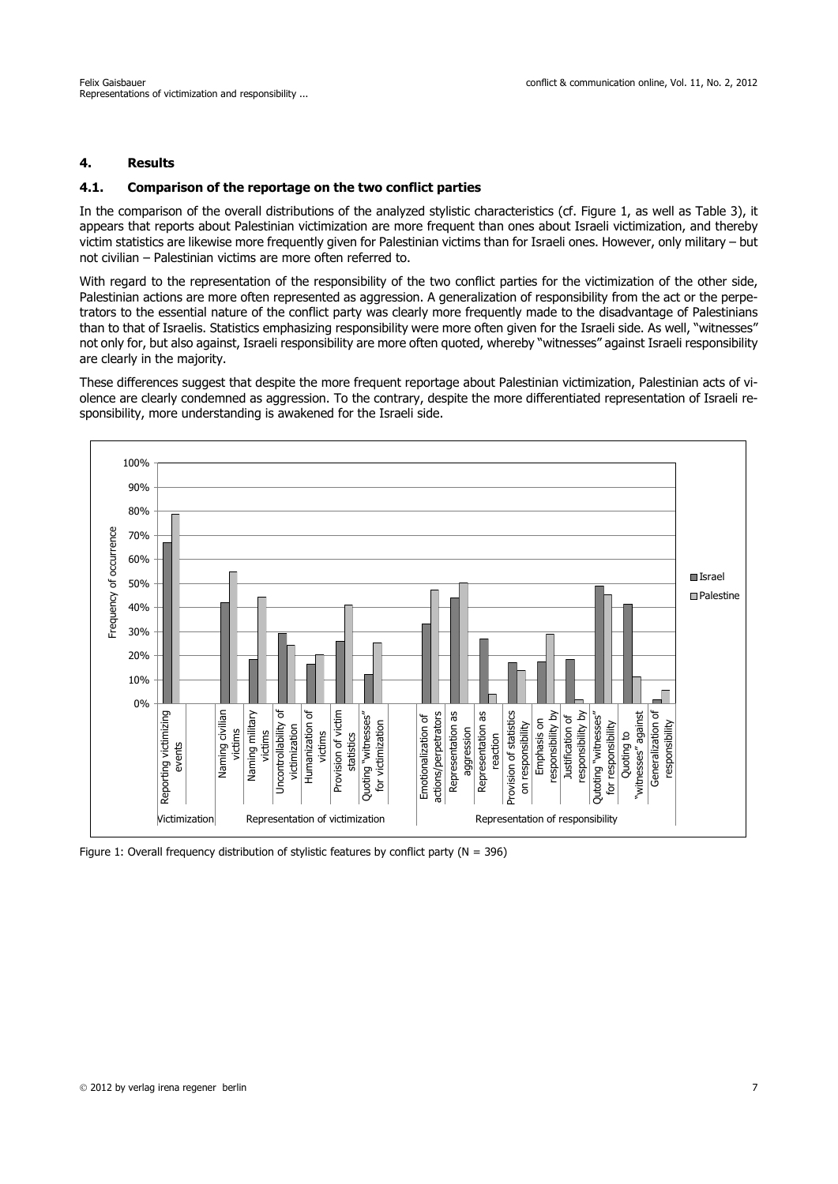## **4. Results**

#### **4.1. Comparison of the reportage on the two conflict parties**

In the comparison of the overall distributions of the analyzed stylistic characteristics (cf. Figure 1, as well as Table 3), it appears that reports about Palestinian victimization are more frequent than ones about Israeli victimization, and thereby victim statistics are likewise more frequently given for Palestinian victims than for Israeli ones. However, only military – but not civilian – Palestinian victims are more often referred to.

With regard to the representation of the responsibility of the two conflict parties for the victimization of the other side, Palestinian actions are more often represented as aggression. A generalization of responsibility from the act or the perpetrators to the essential nature of the conflict party was clearly more frequently made to the disadvantage of Palestinians than to that of Israelis. Statistics emphasizing responsibility were more often given for the Israeli side. As well, "witnesses" not only for, but also against, Israeli responsibility are more often quoted, whereby "witnesses" against Israeli responsibility are clearly in the majority.

These differences suggest that despite the more frequent reportage about Palestinian victimization, Palestinian acts of violence are clearly condemned as aggression. To the contrary, despite the more differentiated representation of Israeli responsibility, more understanding is awakened for the Israeli side.



Figure 1: Overall frequency distribution of stylistic features by conflict party ( $N = 396$ )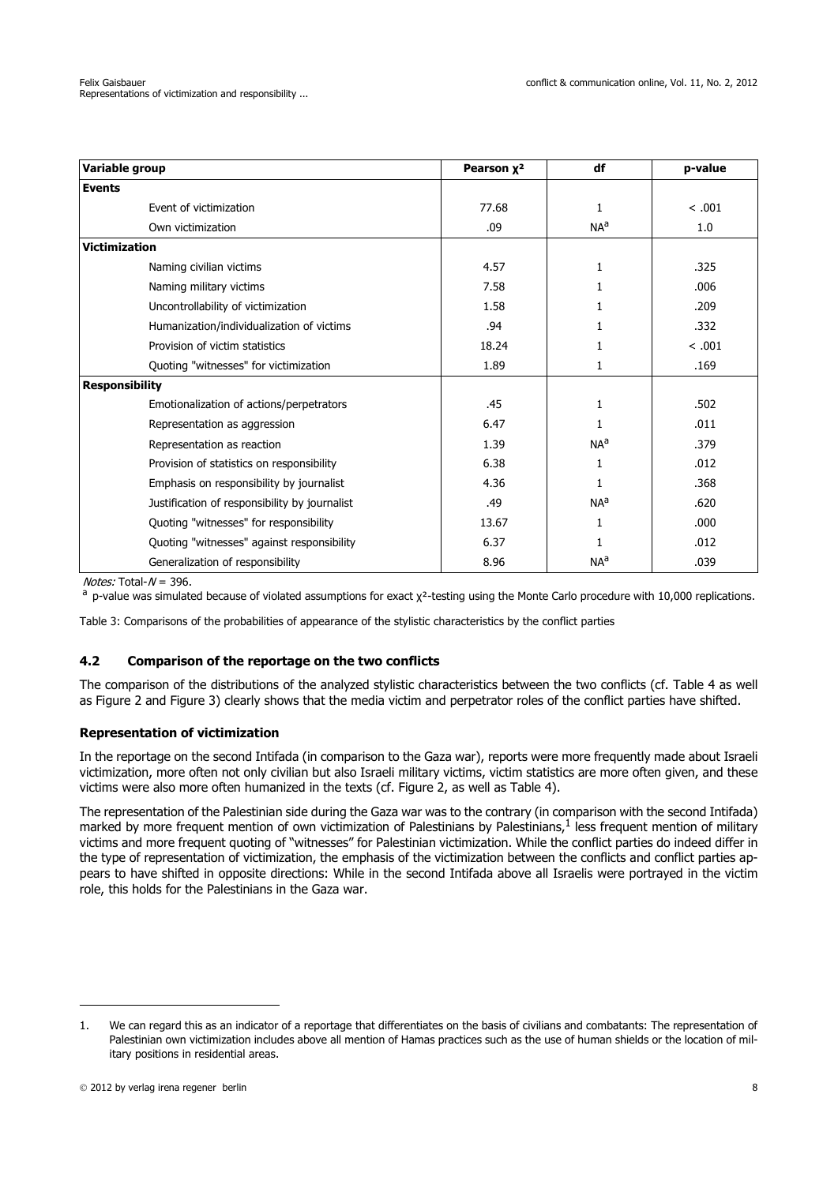| Variable group                                | Pearson x <sup>2</sup> | df              | p-value |
|-----------------------------------------------|------------------------|-----------------|---------|
| <b>Events</b>                                 |                        |                 |         |
| Event of victimization                        | 77.68                  | 1               | < .001  |
| Own victimization                             | .09                    | NA <sup>a</sup> | 1.0     |
| <b>Victimization</b>                          |                        |                 |         |
| Naming civilian victims                       | 4.57                   | 1               | .325    |
| Naming military victims                       | 7.58                   |                 | .006    |
| Uncontrollability of victimization            | 1.58                   |                 | .209    |
| Humanization/individualization of victims     | .94                    |                 | .332    |
| Provision of victim statistics                | 18.24                  | 1               | < .001  |
| Quoting "witnesses" for victimization         | 1.89                   | 1               | .169    |
| <b>Responsibility</b>                         |                        |                 |         |
| Emotionalization of actions/perpetrators      | .45                    | 1               | .502    |
| Representation as aggression                  | 6.47                   | 1               | .011    |
| Representation as reaction                    | 1.39                   | NA <sup>a</sup> | .379    |
| Provision of statistics on responsibility     | 6.38                   | 1               | .012    |
| Emphasis on responsibility by journalist      | 4.36                   | 1               | .368    |
| Justification of responsibility by journalist | .49                    | NA <sup>a</sup> | .620    |
| Quoting "witnesses" for responsibility        | 13.67                  | 1               | .000    |
| Quoting "witnesses" against responsibility    | 6.37                   |                 | .012    |
| Generalization of responsibility              | 8.96                   | NA <sup>a</sup> | .039    |

*Notes:* Total-N = 396.<br><sup>a</sup> p-value was simulated because of violated assumptions for exact χ<sup>2</sup>-testing using the Monte Carlo procedure with 10,000 replications.

Table 3: Comparisons of the probabilities of appearance of the stylistic characteristics by the conflict parties

# **4.2 Comparison of the reportage on the two conflicts**

The comparison of the distributions of the analyzed stylistic characteristics between the two conflicts (cf. Table 4 as well as Figure 2 and Figure 3) clearly shows that the media victim and perpetrator roles of the conflict parties have shifted.

#### **Representation of victimization**

In the reportage on the second Intifada (in comparison to the Gaza war), reports were more frequently made about Israeli victimization, more often not only civilian but also Israeli military victims, victim statistics are more often given, and these victims were also more often humanized in the texts (cf. Figure 2, as well as Table 4).

The representation of the Palestinian side during the Gaza war was to the contrary (in comparison with the second Intifada) marked by more frequent mention of own victimization of Palestinians by Palestinians,<sup>1</sup> less frequent mention of military victims and more frequent quoting of "witnesses" for Palestinian victimization. While the conflict parties do indeed differ in the type of representation of victimization, the emphasis of the victimization between the conflicts and conflict parties appears to have shifted in opposite directions: While in the second Intifada above all Israelis were portrayed in the victim role, this holds for the Palestinians in the Gaza war.

<sup>1.</sup> We can regard this as an indicator of a reportage that differentiates on the basis of civilians and combatants: The representation of Palestinian own victimization includes above all mention of Hamas practices such as the use of human shields or the location of military positions in residential areas.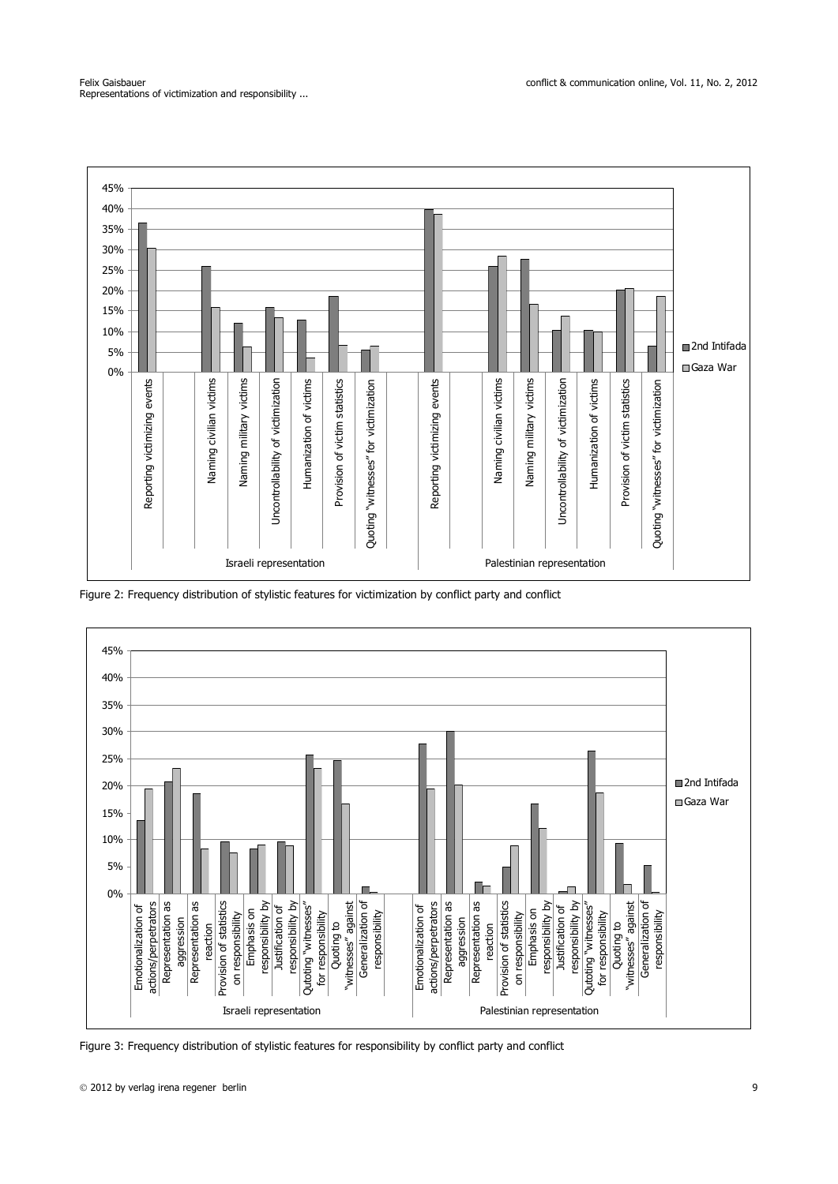

Figure 2: Frequency distribution of stylistic features for victimization by conflict party and conflict



Figure 3: Frequency distribution of stylistic features for responsibility by conflict party and conflict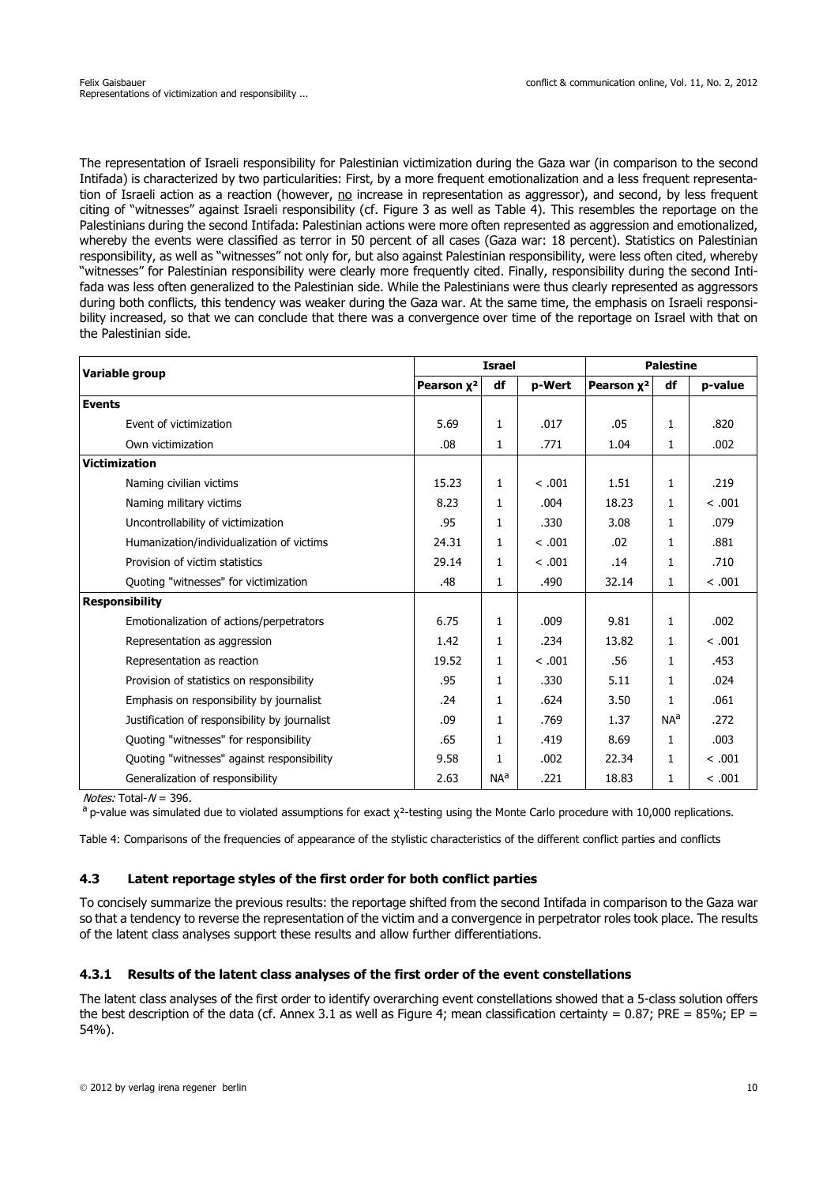The representation of Israeli responsibility for Palestinian victimization during the Gaza war (in comparison to the second Intifada) is characterized by two particularities: First, by a more frequent emotionalization and a less frequent representation of Israeli action as a reaction (however, no increase in representation as aggressor), and second, by less frequent citing of "witnesses" against Israeli responsibility (cf. Figure 3 as well as Table 4). This resembles the reportage on the Palestinians during the second Intifada: Palestinian actions were more often represented as aggression and emotionalized, whereby the events were classified as terror in 50 percent of all cases (Gaza war: 18 percent). Statistics on Palestinian responsibility, as well as "witnesses" not only for, but also against Palestinian responsibility, were less often cited, whereby "witnesses" for Palestinian responsibility were clearly more frequently cited. Finally, responsibility during the second Intifada was less often generalized to the Palestinian side. While the Palestinians were thus clearly represented as aggressors during both conflicts, this tendency was weaker during the Gaza war. At the same time, the emphasis on Israeli responsibility increased, so that we can conclude that there was a convergence over time of the reportage on Israel with that on the Palestinian side.

| Variable group                                | <b>Israel</b>          |                 |        | <b>Palestine</b>       |                 |         |
|-----------------------------------------------|------------------------|-----------------|--------|------------------------|-----------------|---------|
|                                               | Pearson x <sup>2</sup> | df              | p-Wert | Pearson x <sup>2</sup> | df              | p-value |
| <b>Events</b>                                 |                        |                 |        |                        |                 |         |
| Event of victimization                        | 5.69                   | 1               | .017   | .05                    | $\mathbf{1}$    | .820    |
| Own victimization                             | .08                    | 1               | .771   | 1.04                   | 1               | .002    |
| <b>Victimization</b>                          |                        |                 |        |                        |                 |         |
| Naming civilian victims                       | 15.23                  | 1               | < .001 | 1.51                   | $\mathbf{1}$    | .219    |
| Naming military victims                       | 8.23                   | $\mathbf{1}$    | .004   | 18.23                  | 1               | < .001  |
| Uncontrollability of victimization            | .95                    | 1               | .330   | 3.08                   | 1               | .079    |
| Humanization/individualization of victims     | 24.31                  | $\mathbf{1}$    | < .001 | .02                    | $\mathbf{1}$    | .881    |
| Provision of victim statistics                | 29.14                  | 1               | < .001 | .14                    | $\mathbf{1}$    | .710    |
| Quoting "witnesses" for victimization         | .48                    | 1               | .490   | 32.14                  | $\mathbf{1}$    | < .001  |
| <b>Responsibility</b>                         |                        |                 |        |                        |                 |         |
| Emotionalization of actions/perpetrators      | 6.75                   | 1               | .009   | 9.81                   | $\mathbf{1}$    | .002    |
| Representation as aggression                  | 1.42                   | 1               | .234   | 13.82                  | $\mathbf{1}$    | < .001  |
| Representation as reaction                    | 19.52                  | 1               | < .001 | .56                    | 1               | .453    |
| Provision of statistics on responsibility     | .95                    | 1               | .330   | 5.11                   | 1               | .024    |
| Emphasis on responsibility by journalist      | .24                    | 1               | .624   | 3.50                   | 1               | .061    |
| Justification of responsibility by journalist | .09                    | 1               | .769   | 1.37                   | NA <sup>a</sup> | .272    |
| Quoting "witnesses" for responsibility        | .65                    | 1               | .419   | 8.69                   | $\mathbf{1}$    | .003    |
| Quoting "witnesses" against responsibility    | 9.58                   | 1               | .002   | 22.34                  | $\mathbf{1}$    | < .001  |
| Generalization of responsibility              | 2.63                   | NA <sup>a</sup> | .221   | 18.83                  | 1               | < .001  |

 $$ 

a p-value was simulated due to violated assumptions for exact x<sup>2</sup>-testing using the Monte Carlo procedure with 10,000 replications.

Table 4: Comparisons of the frequencies of appearance of the stylistic characteristics of the different conflict parties and conflicts

#### **4.3 Latent reportage styles of the first order for both conflict parties**

To concisely summarize the previous results: the reportage shifted from the second Intifada in comparison to the Gaza war so that a tendency to reverse the representation of the victim and a convergence in perpetrator roles took place. The results of the latent class analyses support these results and allow further differentiations.

### **4.3.1 Results of the latent class analyses of the first order of the event constellations**

The latent class analyses of the first order to identify overarching event constellations showed that a 5-class solution offers the best description of the data (cf. Annex 3.1 as well as Figure 4; mean classification certainty =  $0.87$ ; PRE =  $85\%$ ; EP = 54%).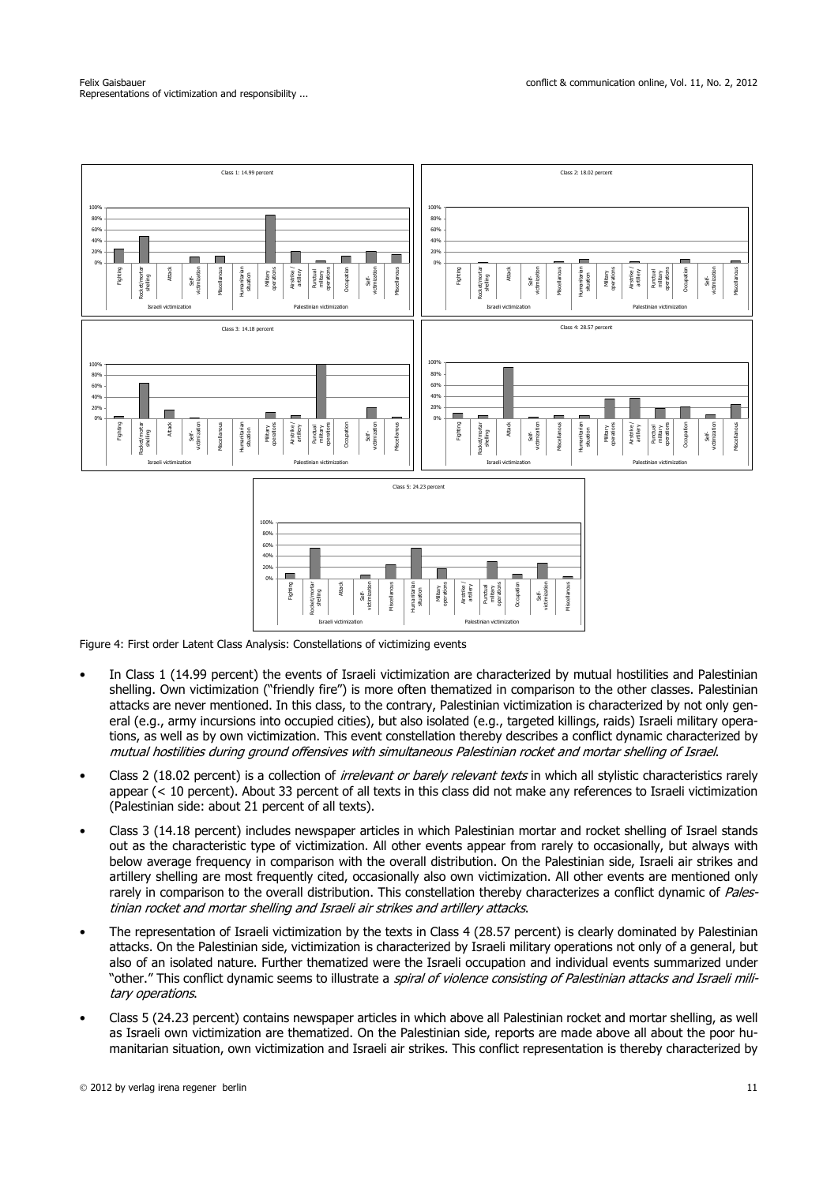

Figure 4: First order Latent Class Analysis: Constellations of victimizing events

- In Class 1 (14.99 percent) the events of Israeli victimization are characterized by mutual hostilities and Palestinian shelling. Own victimization ("friendly fire") is more often thematized in comparison to the other classes. Palestinian attacks are never mentioned. In this class, to the contrary, Palestinian victimization is characterized by not only general (e.g., army incursions into occupied cities), but also isolated (e.g., targeted killings, raids) Israeli military operations, as well as by own victimization. This event constellation thereby describes a conflict dynamic characterized by mutual hostilities during ground offensives with simultaneous Palestinian rocket and mortar shelling of Israel.
- Class 2 (18.02 percent) is a collection of *irrelevant or barely relevant texts* in which all stylistic characteristics rarely appear (< 10 percent). About 33 percent of all texts in this class did not make any references to Israeli victimization (Palestinian side: about 21 percent of all texts).
- Class 3 (14.18 percent) includes newspaper articles in which Palestinian mortar and rocket shelling of Israel stands out as the characteristic type of victimization. All other events appear from rarely to occasionally, but always with below average frequency in comparison with the overall distribution. On the Palestinian side, Israeli air strikes and artillery shelling are most frequently cited, occasionally also own victimization. All other events are mentioned only rarely in comparison to the overall distribution. This constellation thereby characterizes a conflict dynamic of Palestinian rocket and mortar shelling and Israeli air strikes and artillery attacks.
- The representation of Israeli victimization by the texts in Class 4 (28.57 percent) is clearly dominated by Palestinian attacks. On the Palestinian side, victimization is characterized by Israeli military operations not only of a general, but also of an isolated nature. Further thematized were the Israeli occupation and individual events summarized under "other." This conflict dynamic seems to illustrate a *spiral of violence consistina of Palestinian attacks and Israeli mili*tary operations.
- Class 5 (24.23 percent) contains newspaper articles in which above all Palestinian rocket and mortar shelling, as well as Israeli own victimization are thematized. On the Palestinian side, reports are made above all about the poor humanitarian situation, own victimization and Israeli air strikes. This conflict representation is thereby characterized by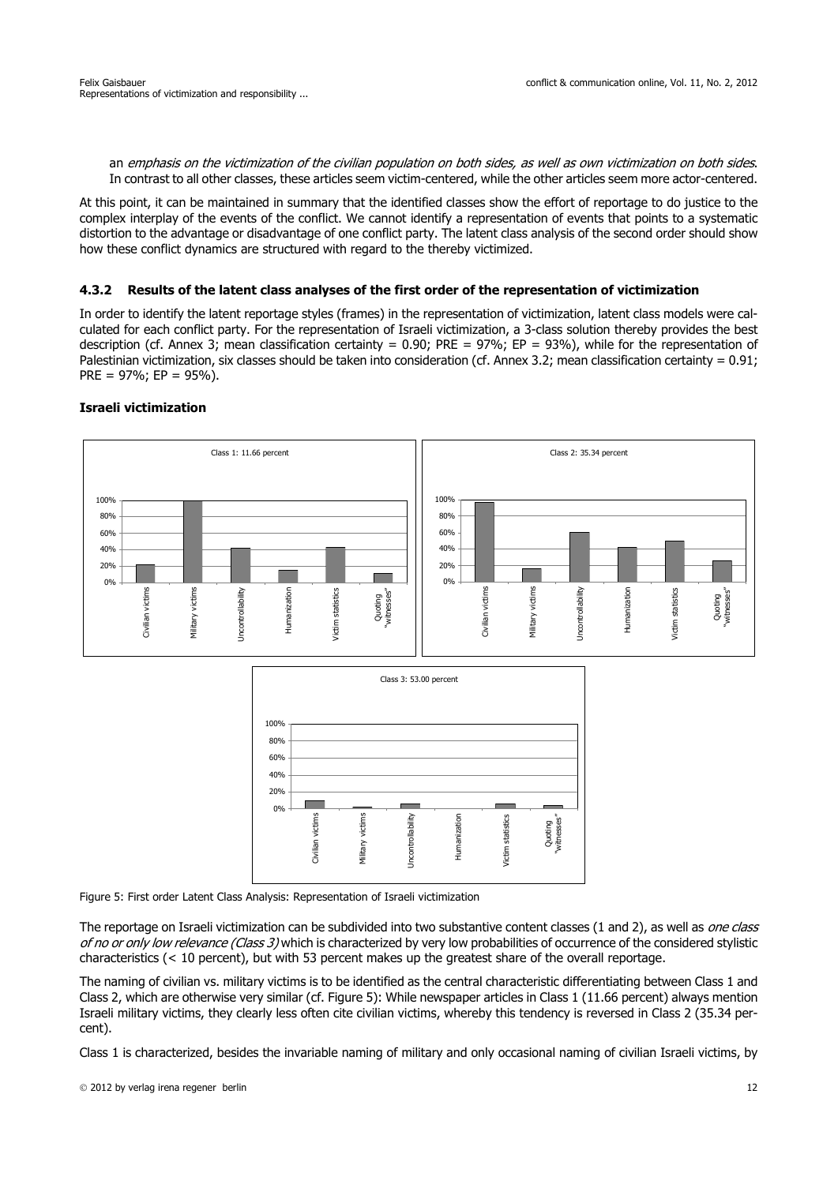an emphasis on the victimization of the civilian population on both sides, as well as own victimization on both sides. In contrast to all other classes, these articles seem victim-centered, while the other articles seem more actor-centered.

At this point, it can be maintained in summary that the identified classes show the effort of reportage to do justice to the complex interplay of the events of the conflict. We cannot identify a representation of events that points to a systematic distortion to the advantage or disadvantage of one conflict party. The latent class analysis of the second order should show how these conflict dynamics are structured with regard to the thereby victimized.

### **4.3.2 Results of the latent class analyses of the first order of the representation of victimization**

In order to identify the latent reportage styles (frames) in the representation of victimization, latent class models were calculated for each conflict party. For the representation of Israeli victimization, a 3-class solution thereby provides the best description (cf. Annex 3; mean classification certainty =  $0.90$ ; PRE =  $97\%$ ; EP =  $93\%$ ), while for the representation of Palestinian victimization, six classes should be taken into consideration (cf. Annex 3.2; mean classification certainty =  $0.91$ ; PRE =  $97\%$ ; EP =  $95\%$ ).



#### The reportage on Israeli victimization can be subdivided into two substantive content classes (1 and 2), as well as one class of no or only low relevance (Class 3) which is characterized by very low probabilities of occurrence of the considered stylistic characteristics (< 10 percent), but with 53 percent makes up the greatest share of the overall reportage.

The naming of civilian vs. military victims is to be identified as the central characteristic differentiating between Class 1 and Class 2, which are otherwise very similar (cf. Figure 5): While newspaper articles in Class 1 (11.66 percent) always mention Israeli military victims, they clearly less often cite civilian victims, whereby this tendency is reversed in Class 2 (35.34 percent).

Class 1 is characterized, besides the invariable naming of military and only occasional naming of civilian Israeli victims, by

# **Israeli victimization**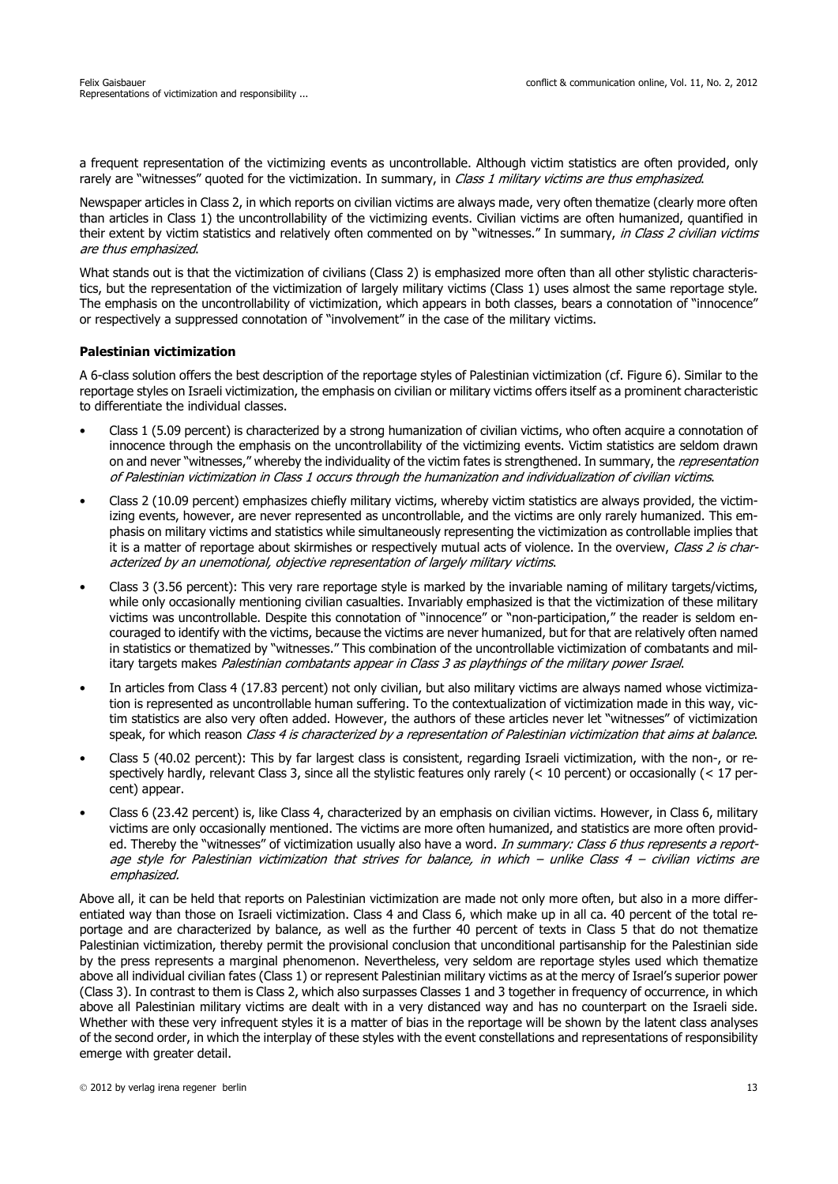a frequent representation of the victimizing events as uncontrollable. Although victim statistics are often provided, only rarely are "witnesses" quoted for the victimization. In summary, in Class 1 military victims are thus emphasized.

Newspaper articles in Class 2, in which reports on civilian victims are always made, very often thematize (clearly more often than articles in Class 1) the uncontrollability of the victimizing events. Civilian victims are often humanized, quantified in their extent by victim statistics and relatively often commented on by "witnesses." In summary, in Class 2 civilian victims are thus emphasized.

What stands out is that the victimization of civilians (Class 2) is emphasized more often than all other stylistic characteristics, but the representation of the victimization of largely military victims (Class 1) uses almost the same reportage style. The emphasis on the uncontrollability of victimization, which appears in both classes, bears a connotation of "innocence" or respectively a suppressed connotation of "involvement" in the case of the military victims.

### **Palestinian victimization**

A 6-class solution offers the best description of the reportage styles of Palestinian victimization (cf. Figure 6). Similar to the reportage styles on Israeli victimization, the emphasis on civilian or military victims offers itself as a prominent characteristic to differentiate the individual classes.

- Class 1 (5.09 percent) is characterized by a strong humanization of civilian victims, who often acquire a connotation of innocence through the emphasis on the uncontrollability of the victimizing events. Victim statistics are seldom drawn on and never "witnesses," whereby the individuality of the victim fates is strengthened. In summary, the representation of Palestinian victimization in Class 1 occurs through the humanization and individualization of civilian victims.
- Class 2 (10.09 percent) emphasizes chiefly military victims, whereby victim statistics are always provided, the victimizing events, however, are never represented as uncontrollable, and the victims are only rarely humanized. This emphasis on military victims and statistics while simultaneously representing the victimization as controllable implies that it is a matter of reportage about skirmishes or respectively mutual acts of violence. In the overview, Class 2 is characterized by an unemotional, objective representation of largely military victims.
- Class 3 (3.56 percent): This very rare reportage style is marked by the invariable naming of military targets/victims, while only occasionally mentioning civilian casualties. Invariably emphasized is that the victimization of these military victims was uncontrollable. Despite this connotation of "innocence" or "non-participation," the reader is seldom encouraged to identify with the victims, because the victims are never humanized, but for that are relatively often named in statistics or thematized by "witnesses." This combination of the uncontrollable victimization of combatants and military targets makes Palestinian combatants appear in Class 3 as playthings of the military power Israel.
- In articles from Class 4 (17.83 percent) not only civilian, but also military victims are always named whose victimization is represented as uncontrollable human suffering. To the contextualization of victimization made in this way, victim statistics are also very often added. However, the authors of these articles never let "witnesses" of victimization speak, for which reason Class 4 is characterized by a representation of Palestinian victimization that aims at balance.
- Class 5 (40.02 percent): This by far largest class is consistent, regarding Israeli victimization, with the non-, or respectively hardly, relevant Class 3, since all the stylistic features only rarely (< 10 percent) or occasionally (< 17 percent) appear.
- Class 6 (23.42 percent) is, like Class 4, characterized by an emphasis on civilian victims. However, in Class 6, military victims are only occasionally mentioned. The victims are more often humanized, and statistics are more often provided. Thereby the "witnesses" of victimization usually also have a word. In summary: Class 6 thus represents a reportage style for Palestinian victimization that strives for balance, in which – unlike Class 4 – civilian victims are emphasized.

Above all, it can be held that reports on Palestinian victimization are made not only more often, but also in a more differentiated way than those on Israeli victimization. Class 4 and Class 6, which make up in all ca. 40 percent of the total reportage and are characterized by balance, as well as the further 40 percent of texts in Class 5 that do not thematize Palestinian victimization, thereby permit the provisional conclusion that unconditional partisanship for the Palestinian side by the press represents a marginal phenomenon. Nevertheless, very seldom are reportage styles used which thematize above all individual civilian fates (Class 1) or represent Palestinian military victims as at the mercy of Israel's superior power (Class 3). In contrast to them is Class 2, which also surpasses Classes 1 and 3 together in frequency of occurrence, in which above all Palestinian military victims are dealt with in a very distanced way and has no counterpart on the Israeli side. Whether with these very infrequent styles it is a matter of bias in the reportage will be shown by the latent class analyses of the second order, in which the interplay of these styles with the event constellations and representations of responsibility emerge with greater detail.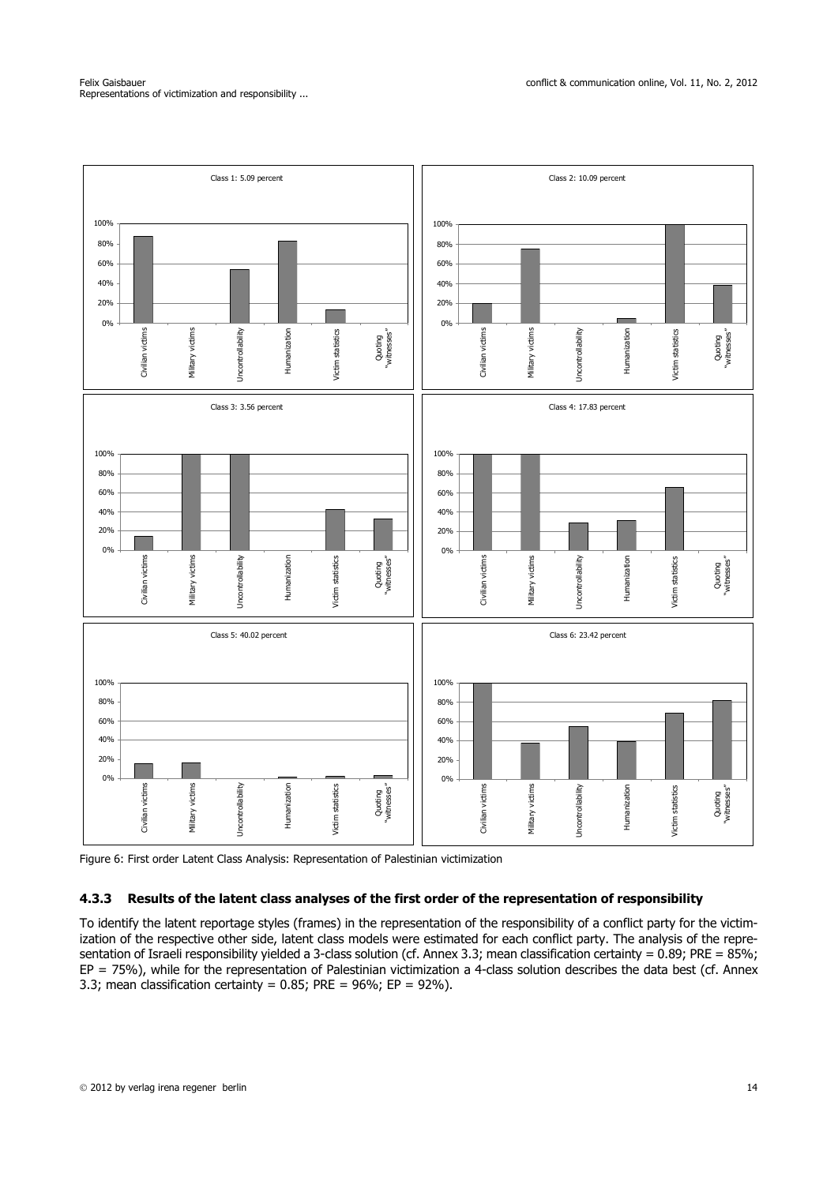



### **4.3.3 Results of the latent class analyses of the first order of the representation of responsibility**

To identify the latent reportage styles (frames) in the representation of the responsibility of a conflict party for the victimization of the respective other side, latent class models were estimated for each conflict party. The analysis of the representation of Israeli responsibility yielded a 3-class solution (cf. Annex 3.3; mean classification certainty = 0.89; PRE = 85%;  $EP = 75%$ ), while for the representation of Palestinian victimization a 4-class solution describes the data best (cf. Annex 3.3; mean classification certainty =  $0.85$ ; PRE =  $96\%$ ; EP =  $92\%$ ).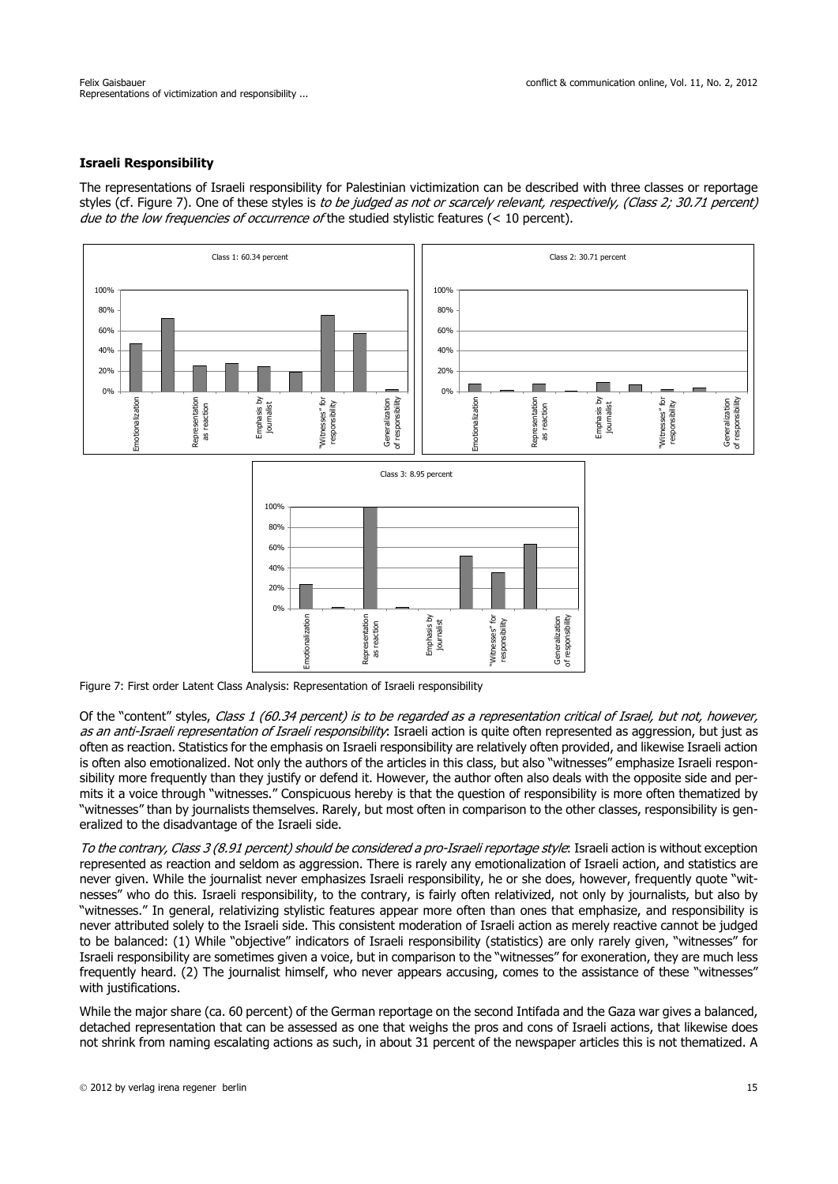## **Israeli Responsibility**

The representations of Israeli responsibility for Palestinian victimization can be described with three classes or reportage styles (cf. Figure 7). One of these styles is to be judged as not or scarcely relevant, respectively, (Class 2; 30.71 percent) due to the low frequencies of occurrence of the studied stylistic features ( $<$  10 percent).



Figure 7: First order Latent Class Analysis: Representation of Israeli responsibility

Of the "content" styles, Class 1 (60.34 percent) is to be regarded as a representation critical of Israel, but not, however, as an anti-Israeli representation of Israeli responsibility. Israeli action is quite often represented as aggression, but just as often as reaction. Statistics for the emphasis on Israeli responsibility are relatively often provided, and likewise Israeli action is often also emotionalized. Not only the authors of the articles in this class, but also "witnesses" emphasize Israeli responsibility more frequently than they justify or defend it. However, the author often also deals with the opposite side and permits it a voice through "witnesses." Conspicuous hereby is that the question of responsibility is more often thematized by "witnesses" than by journalists themselves. Rarely, but most often in comparison to the other classes, responsibility is generalized to the disadvantage of the Israeli side.

To the contrary, Class 3 (8.91 percent) should be considered a pro-Israeli reportage style: Israeli action is without exception represented as reaction and seldom as aggression. There is rarely any emotionalization of Israeli action, and statistics are never given. While the journalist never emphasizes Israeli responsibility, he or she does, however, frequently quote "witnesses" who do this. Israeli responsibility, to the contrary, is fairly often relativized, not only by journalists, but also by "witnesses." In general, relativizing stylistic features appear more often than ones that emphasize, and responsibility is never attributed solely to the Israeli side. This consistent moderation of Israeli action as merely reactive cannot be judged to be balanced: (1) While "objective" indicators of Israeli responsibility (statistics) are only rarely given, "witnesses" for Israeli responsibility are sometimes given a voice, but in comparison to the "witnesses" for exoneration, they are much less frequently heard. (2) The journalist himself, who never appears accusing, comes to the assistance of these "witnesses" with justifications.

While the major share (ca. 60 percent) of the German reportage on the second Intifada and the Gaza war gives a balanced, detached representation that can be assessed as one that weighs the pros and cons of Israeli actions, that likewise does not shrink from naming escalating actions as such, in about 31 percent of the newspaper articles this is not thematized. A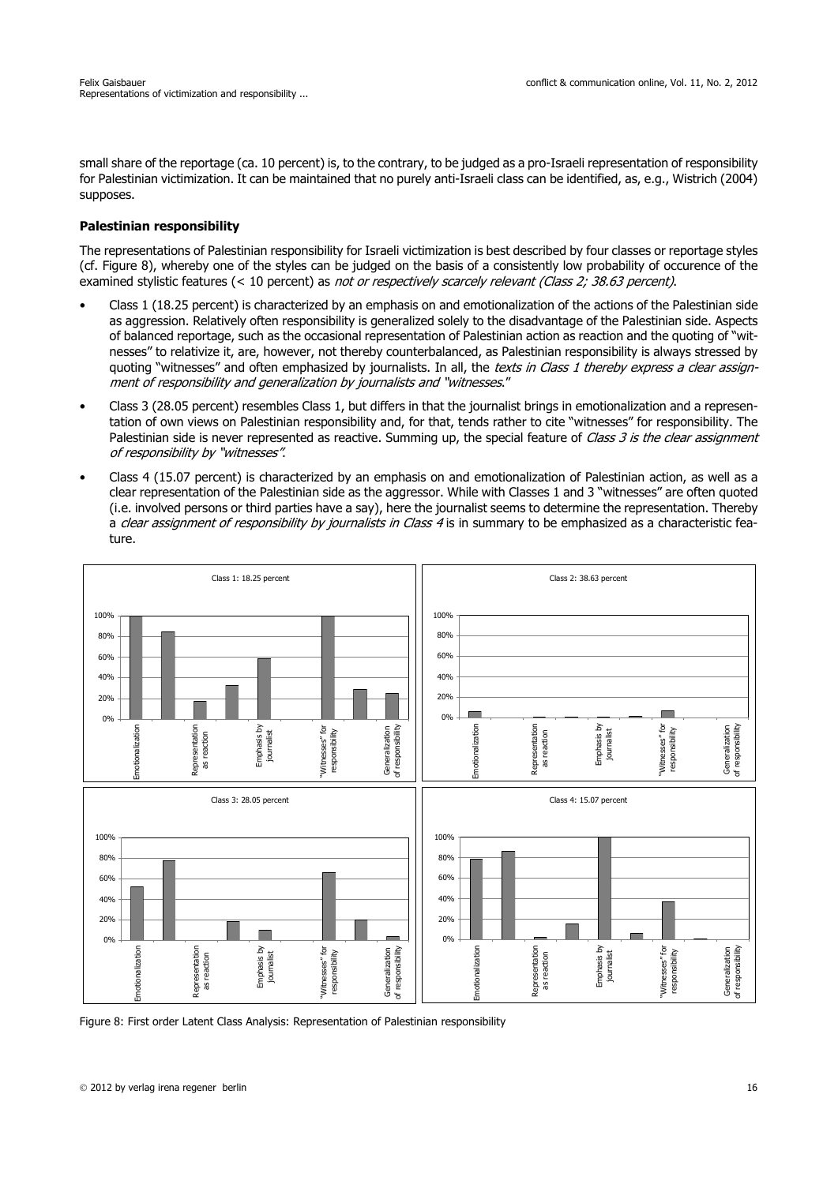small share of the reportage (ca. 10 percent) is, to the contrary, to be judged as a pro-Israeli representation of responsibility for Palestinian victimization. It can be maintained that no purely anti-Israeli class can be identified, as, e.g., Wistrich (2004) supposes.

### **Palestinian responsibility**

The representations of Palestinian responsibility for Israeli victimization is best described by four classes or reportage styles (cf. Figure 8), whereby one of the styles can be judged on the basis of a consistently low probability of occurence of the examined stylistic features (< 10 percent) as not or respectively scarcely relevant (Class 2; 38.63 percent).

- Class 1 (18.25 percent) is characterized by an emphasis on and emotionalization of the actions of the Palestinian side as aggression. Relatively often responsibility is generalized solely to the disadvantage of the Palestinian side. Aspects of balanced reportage, such as the occasional representation of Palestinian action as reaction and the quoting of "witnesses" to relativize it, are, however, not thereby counterbalanced, as Palestinian responsibility is always stressed by quoting "witnesses" and often emphasized by journalists. In all, the texts in Class 1 thereby express a clear assignment of responsibility and generalization by journalists and "witnesses."
- Class 3 (28.05 percent) resembles Class 1, but differs in that the journalist brings in emotionalization and a representation of own views on Palestinian responsibility and, for that, tends rather to cite "witnesses" for responsibility. The Palestinian side is never represented as reactive. Summing up, the special feature of Class 3 is the clear assignment of responsibility by "witnesses".
- Class 4 (15.07 percent) is characterized by an emphasis on and emotionalization of Palestinian action, as well as a clear representation of the Palestinian side as the aggressor. While with Classes 1 and 3 "witnesses" are often quoted (i.e. involved persons or third parties have a say), here the journalist seems to determine the representation. Thereby a clear assignment of responsibility by journalists in Class 4 is in summary to be emphasized as a characteristic feature.



Figure 8: First order Latent Class Analysis: Representation of Palestinian responsibility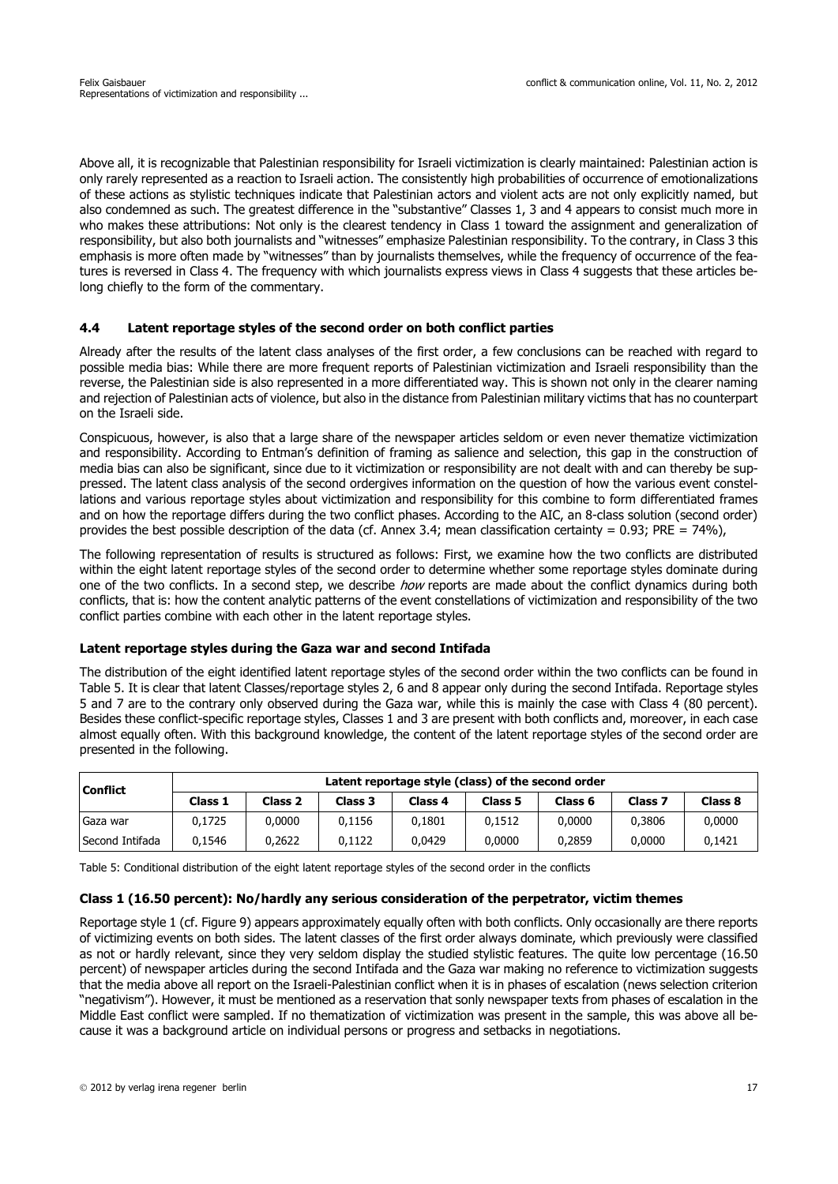Above all, it is recognizable that Palestinian responsibility for Israeli victimization is clearly maintained: Palestinian action is only rarely represented as a reaction to Israeli action. The consistently high probabilities of occurrence of emotionalizations of these actions as stylistic techniques indicate that Palestinian actors and violent acts are not only explicitly named, but also condemned as such. The greatest difference in the "substantive" Classes 1, 3 and 4 appears to consist much more in who makes these attributions: Not only is the clearest tendency in Class 1 toward the assignment and generalization of responsibility, but also both journalists and "witnesses" emphasize Palestinian responsibility. To the contrary, in Class 3 this emphasis is more often made by "witnesses" than by journalists themselves, while the frequency of occurrence of the features is reversed in Class 4. The frequency with which journalists express views in Class 4 suggests that these articles belong chiefly to the form of the commentary.

## **4.4 Latent reportage styles of the second order on both conflict parties**

Already after the results of the latent class analyses of the first order, a few conclusions can be reached with regard to possible media bias: While there are more frequent reports of Palestinian victimization and Israeli responsibility than the reverse, the Palestinian side is also represented in a more differentiated way. This is shown not only in the clearer naming and rejection of Palestinian acts of violence, but also in the distance from Palestinian military victims that has no counterpart on the Israeli side.

Conspicuous, however, is also that a large share of the newspaper articles seldom or even never thematize victimization and responsibility. According to Entman's definition of framing as salience and selection, this gap in the construction of media bias can also be significant, since due to it victimization or responsibility are not dealt with and can thereby be suppressed. The latent class analysis of the second ordergives information on the question of how the various event constellations and various reportage styles about victimization and responsibility for this combine to form differentiated frames and on how the reportage differs during the two conflict phases. According to the AIC, an 8-class solution (second order) provides the best possible description of the data (cf. Annex 3.4; mean classification certainty =  $0.93$ ; PRE =  $74\%$ ),

The following representation of results is structured as follows: First, we examine how the two conflicts are distributed within the eight latent reportage styles of the second order to determine whether some reportage styles dominate during one of the two conflicts. In a second step, we describe how reports are made about the conflict dynamics during both conflicts, that is: how the content analytic patterns of the event constellations of victimization and responsibility of the two conflict parties combine with each other in the latent reportage styles.

#### **Latent reportage styles during the Gaza war and second Intifada**

The distribution of the eight identified latent reportage styles of the second order within the two conflicts can be found in Table 5. It is clear that latent Classes/reportage styles 2, 6 and 8 appear only during the second Intifada. Reportage styles 5 and 7 are to the contrary only observed during the Gaza war, while this is mainly the case with Class 4 (80 percent). Besides these conflict-specific reportage styles, Classes 1 and 3 are present with both conflicts and, moreover, in each case almost equally often. With this background knowledge, the content of the latent reportage styles of the second order are presented in the following.

| Latent reportage style (class) of the second order<br><b>Conflict</b> |         |                    |         |                    |                    |                    |         |         |
|-----------------------------------------------------------------------|---------|--------------------|---------|--------------------|--------------------|--------------------|---------|---------|
|                                                                       | Class 1 | Class <sub>2</sub> | Class 3 | Class <sub>4</sub> | Class <sub>5</sub> | Class <sub>6</sub> | Class 7 | Class 8 |
| Gaza war                                                              | 0.1725  | 0.0000             | 0.1156  | 0.1801             | 0.1512             | 0.0000             | 0.3806  | 0,0000  |
| Second Intifada                                                       | 0.1546  | 0.2622             | 0.1122  | 0.0429             | 0.0000             | 0.2859             | 0.0000  | 0.1421  |

Table 5: Conditional distribution of the eight latent reportage styles of the second order in the conflicts

#### **Class 1 (16.50 percent): No/hardly any serious consideration of the perpetrator, victim themes**

Reportage style 1 (cf. Figure 9) appears approximately equally often with both conflicts. Only occasionally are there reports of victimizing events on both sides. The latent classes of the first order always dominate, which previously were classified as not or hardly relevant, since they very seldom display the studied stylistic features. The quite low percentage (16.50 percent) of newspaper articles during the second Intifada and the Gaza war making no reference to victimization suggests that the media above all report on the Israeli-Palestinian conflict when it is in phases of escalation (news selection criterion "negativism"). However, it must be mentioned as a reservation that sonly newspaper texts from phases of escalation in the Middle East conflict were sampled. If no thematization of victimization was present in the sample, this was above all because it was a background article on individual persons or progress and setbacks in negotiations.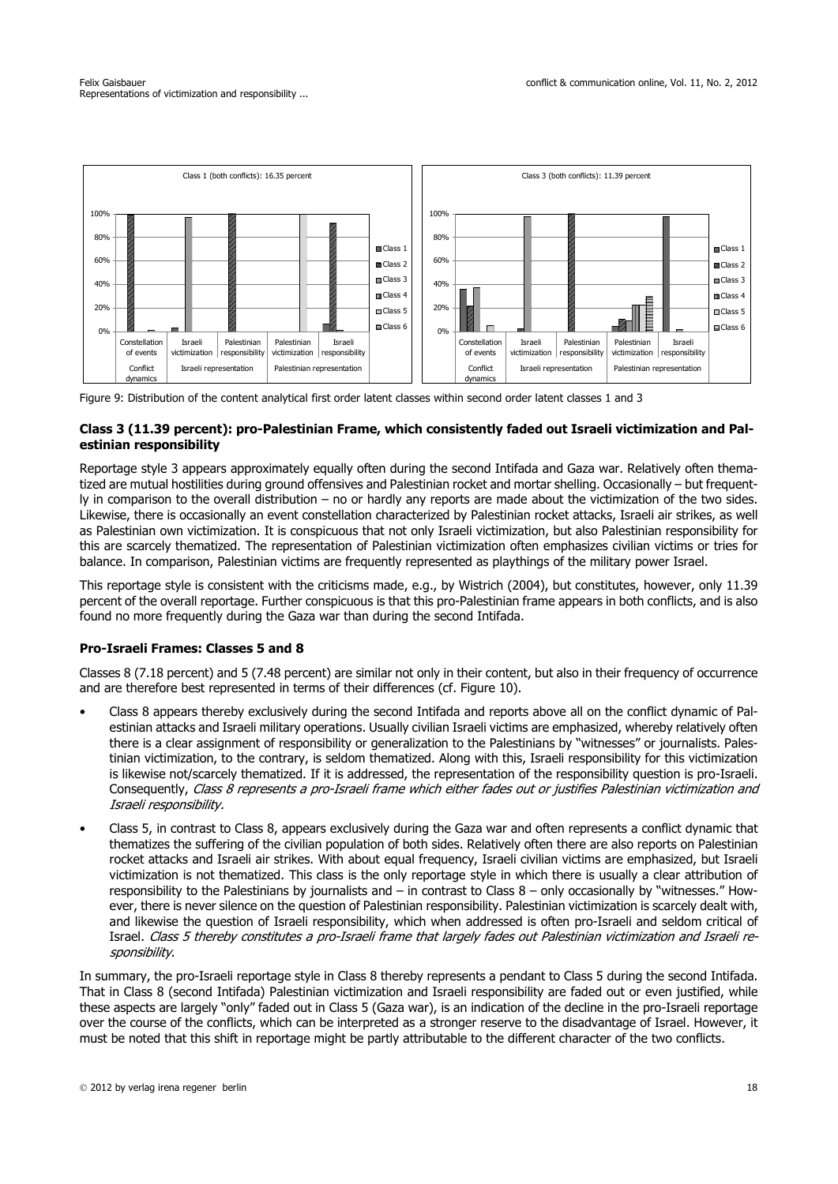

Figure 9: Distribution of the content analytical first order latent classes within second order latent classes 1 and 3

## **Class 3 (11.39 percent): pro-Palestinian Frame, which consistently faded out Israeli victimization and Palestinian responsibility**

Reportage style 3 appears approximately equally often during the second Intifada and Gaza war. Relatively often thematized are mutual hostilities during ground offensives and Palestinian rocket and mortar shelling. Occasionally – but frequently in comparison to the overall distribution – no or hardly any reports are made about the victimization of the two sides. Likewise, there is occasionally an event constellation characterized by Palestinian rocket attacks, Israeli air strikes, as well as Palestinian own victimization. It is conspicuous that not only Israeli victimization, but also Palestinian responsibility for this are scarcely thematized. The representation of Palestinian victimization often emphasizes civilian victims or tries for balance. In comparison, Palestinian victims are frequently represented as playthings of the military power Israel.

This reportage style is consistent with the criticisms made, e.g., by Wistrich (2004), but constitutes, however, only 11.39 percent of the overall reportage. Further conspicuous is that this pro-Palestinian frame appears in both conflicts, and is also found no more frequently during the Gaza war than during the second Intifada.

## **Pro-Israeli Frames: Classes 5 and 8**

Classes 8 (7.18 percent) and 5 (7.48 percent) are similar not only in their content, but also in their frequency of occurrence and are therefore best represented in terms of their differences (cf. Figure 10).

- Class 8 appears thereby exclusively during the second Intifada and reports above all on the conflict dynamic of Palestinian attacks and Israeli military operations. Usually civilian Israeli victims are emphasized, whereby relatively often there is a clear assignment of responsibility or generalization to the Palestinians by "witnesses" or journalists. Palestinian victimization, to the contrary, is seldom thematized. Along with this, Israeli responsibility for this victimization is likewise not/scarcely thematized. If it is addressed, the representation of the responsibility question is pro-Israeli. Consequently, Class 8 represents a pro-Israeli frame which either fades out or justifies Palestinian victimization and Israeli responsibility.
- Class 5, in contrast to Class 8, appears exclusively during the Gaza war and often represents a conflict dynamic that thematizes the suffering of the civilian population of both sides. Relatively often there are also reports on Palestinian rocket attacks and Israeli air strikes. With about equal frequency, Israeli civilian victims are emphasized, but Israeli victimization is not thematized. This class is the only reportage style in which there is usually a clear attribution of responsibility to the Palestinians by journalists and – in contrast to Class 8 – only occasionally by "witnesses." However, there is never silence on the question of Palestinian responsibility. Palestinian victimization is scarcely dealt with, and likewise the question of Israeli responsibility, which when addressed is often pro-Israeli and seldom critical of Israel. Class 5 thereby constitutes a pro-Israeli frame that largely fades out Palestinian victimization and Israeli responsibility.

In summary, the pro-Israeli reportage style in Class 8 thereby represents a pendant to Class 5 during the second Intifada. That in Class 8 (second Intifada) Palestinian victimization and Israeli responsibility are faded out or even justified, while these aspects are largely "only" faded out in Class 5 (Gaza war), is an indication of the decline in the pro-Israeli reportage over the course of the conflicts, which can be interpreted as a stronger reserve to the disadvantage of Israel. However, it must be noted that this shift in reportage might be partly attributable to the different character of the two conflicts.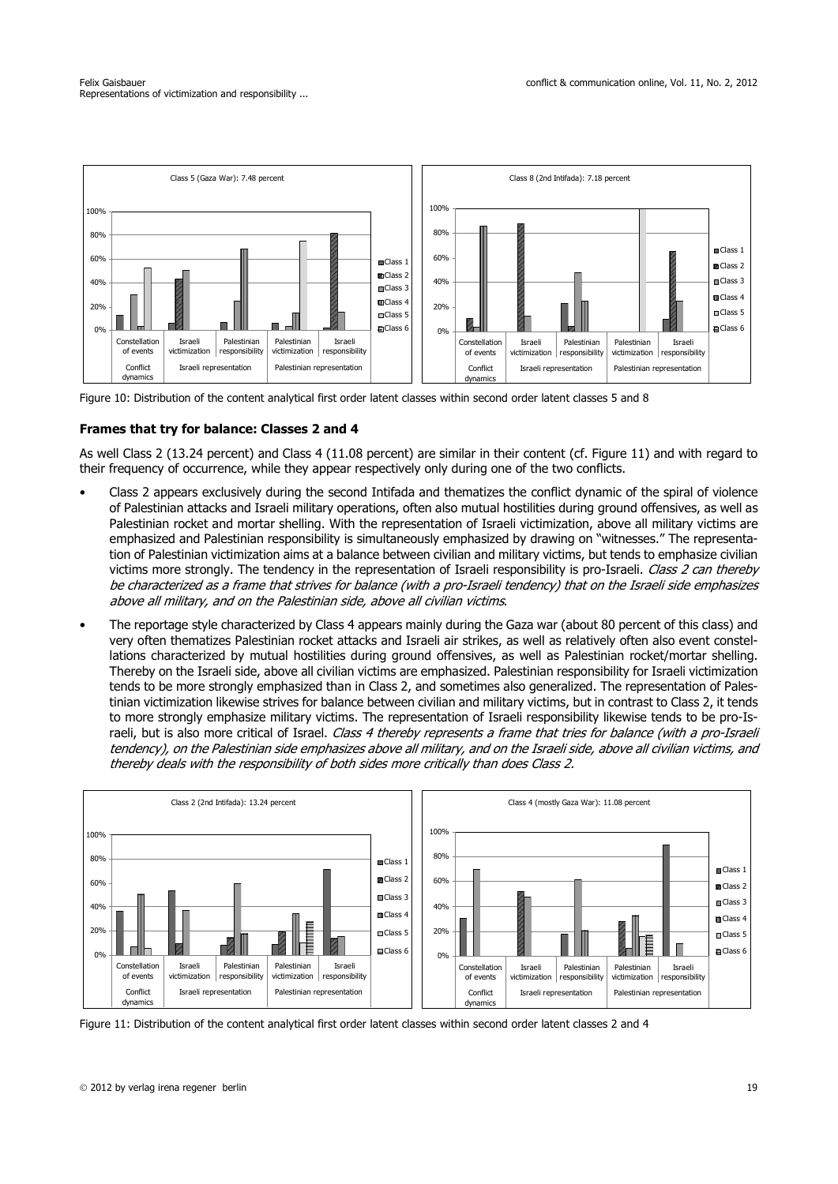

Figure 10: Distribution of the content analytical first order latent classes within second order latent classes 5 and 8

## **Frames that try for balance: Classes 2 and 4**

As well Class 2 (13.24 percent) and Class 4 (11.08 percent) are similar in their content (cf. Figure 11) and with regard to their frequency of occurrence, while they appear respectively only during one of the two conflicts.

- Class 2 appears exclusively during the second Intifada and thematizes the conflict dynamic of the spiral of violence of Palestinian attacks and Israeli military operations, often also mutual hostilities during ground offensives, as well as Palestinian rocket and mortar shelling. With the representation of Israeli victimization, above all military victims are emphasized and Palestinian responsibility is simultaneously emphasized by drawing on "witnesses." The representation of Palestinian victimization aims at a balance between civilian and military victims, but tends to emphasize civilian victims more strongly. The tendency in the representation of Israeli responsibility is pro-Israeli. Class 2 can thereby be characterized as a frame that strives for balance (with a pro-Israeli tendency) that on the Israeli side emphasizes above all military, and on the Palestinian side, above all civilian victims.
- The reportage style characterized by Class 4 appears mainly during the Gaza war (about 80 percent of this class) and very often thematizes Palestinian rocket attacks and Israeli air strikes, as well as relatively often also event constellations characterized by mutual hostilities during ground offensives, as well as Palestinian rocket/mortar shelling. Thereby on the Israeli side, above all civilian victims are emphasized. Palestinian responsibility for Israeli victimization tends to be more strongly emphasized than in Class 2, and sometimes also generalized. The representation of Palestinian victimization likewise strives for balance between civilian and military victims, but in contrast to Class 2, it tends to more strongly emphasize military victims. The representation of Israeli responsibility likewise tends to be pro-Israeli, but is also more critical of Israel. Class 4 thereby represents a frame that tries for balance (with a pro-Israeli tendency), on the Palestinian side emphasizes above all military, and on the Israeli side, above all civilian victims, and thereby deals with the responsibility of both sides more critically than does Class 2.



Figure 11: Distribution of the content analytical first order latent classes within second order latent classes 2 and 4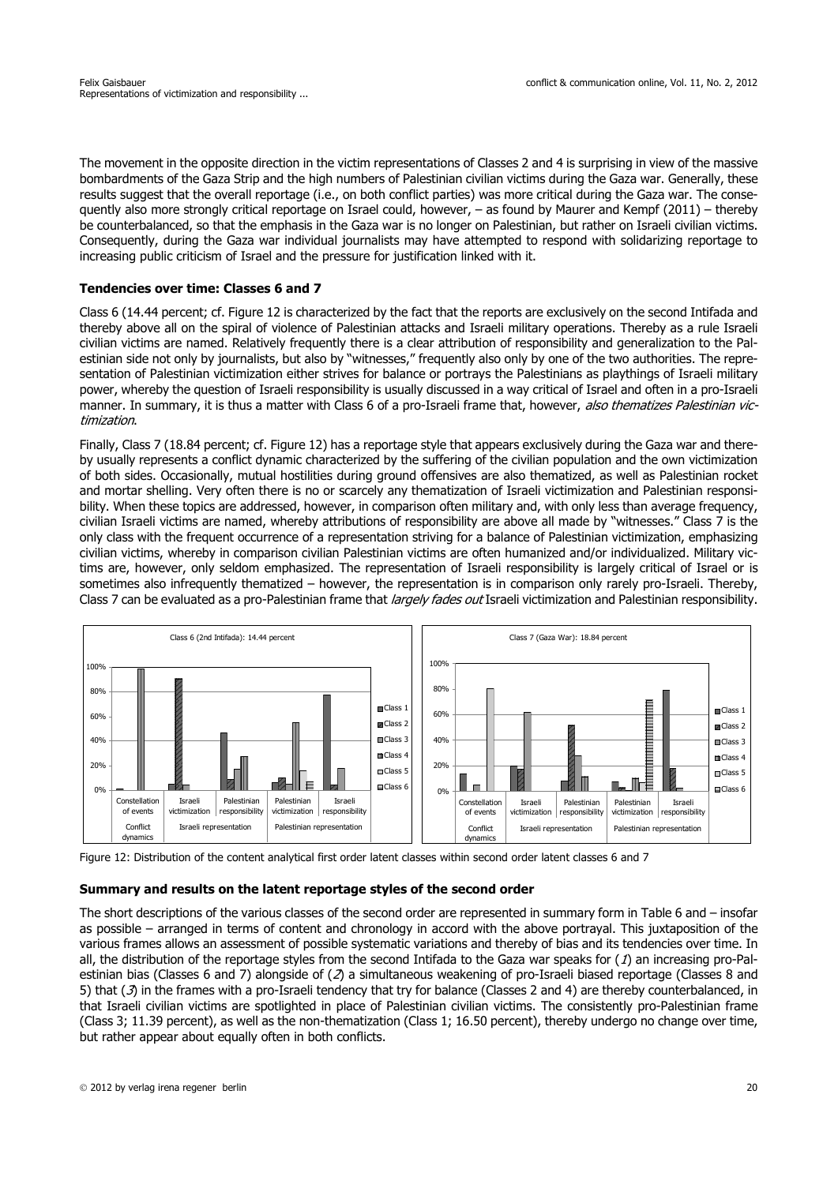The movement in the opposite direction in the victim representations of Classes 2 and 4 is surprising in view of the massive bombardments of the Gaza Strip and the high numbers of Palestinian civilian victims during the Gaza war. Generally, these results suggest that the overall reportage (i.e., on both conflict parties) was more critical during the Gaza war. The consequently also more strongly critical reportage on Israel could, however, – as found by Maurer and Kempf (2011) – thereby be counterbalanced, so that the emphasis in the Gaza war is no longer on Palestinian, but rather on Israeli civilian victims. Consequently, during the Gaza war individual journalists may have attempted to respond with solidarizing reportage to increasing public criticism of Israel and the pressure for justification linked with it.

## **Tendencies over time: Classes 6 and 7**

Class 6 (14.44 percent; cf. Figure 12 is characterized by the fact that the reports are exclusively on the second Intifada and thereby above all on the spiral of violence of Palestinian attacks and Israeli military operations. Thereby as a rule Israeli civilian victims are named. Relatively frequently there is a clear attribution of responsibility and generalization to the Palestinian side not only by journalists, but also by "witnesses," frequently also only by one of the two authorities. The representation of Palestinian victimization either strives for balance or portrays the Palestinians as playthings of Israeli military power, whereby the question of Israeli responsibility is usually discussed in a way critical of Israel and often in a pro-Israeli manner. In summary, it is thus a matter with Class 6 of a pro-Israeli frame that, however, also thematizes Palestinian victimization.

Finally, Class 7 (18.84 percent; cf. Figure 12) has a reportage style that appears exclusively during the Gaza war and thereby usually represents a conflict dynamic characterized by the suffering of the civilian population and the own victimization of both sides. Occasionally, mutual hostilities during ground offensives are also thematized, as well as Palestinian rocket and mortar shelling. Very often there is no or scarcely any thematization of Israeli victimization and Palestinian responsibility. When these topics are addressed, however, in comparison often military and, with only less than average frequency, civilian Israeli victims are named, whereby attributions of responsibility are above all made by "witnesses." Class 7 is the only class with the frequent occurrence of a representation striving for a balance of Palestinian victimization, emphasizing civilian victims, whereby in comparison civilian Palestinian victims are often humanized and/or individualized. Military victims are, however, only seldom emphasized. The representation of Israeli responsibility is largely critical of Israel or is sometimes also infrequently thematized – however, the representation is in comparison only rarely pro-Israeli. Thereby, Class 7 can be evaluated as a pro-Palestinian frame that *largely fades out* Israeli victimization and Palestinian responsibility.





#### **Summary and results on the latent reportage styles of the second order**

The short descriptions of the various classes of the second order are represented in summary form in Table 6 and – insofar as possible – arranged in terms of content and chronology in accord with the above portrayal. This juxtaposition of the various frames allows an assessment of possible systematic variations and thereby of bias and its tendencies over time. In all, the distribution of the reportage styles from the second Intifada to the Gaza war speaks for  $(1)$  an increasing pro-Palestinian bias (Classes 6 and 7) alongside of  $(2)$  a simultaneous weakening of pro-Israeli biased reportage (Classes 8 and 5) that (3) in the frames with a pro-Israeli tendency that try for balance (Classes 2 and 4) are thereby counterbalanced, in that Israeli civilian victims are spotlighted in place of Palestinian civilian victims. The consistently pro-Palestinian frame (Class 3; 11.39 percent), as well as the non-thematization (Class 1; 16.50 percent), thereby undergo no change over time, but rather appear about equally often in both conflicts.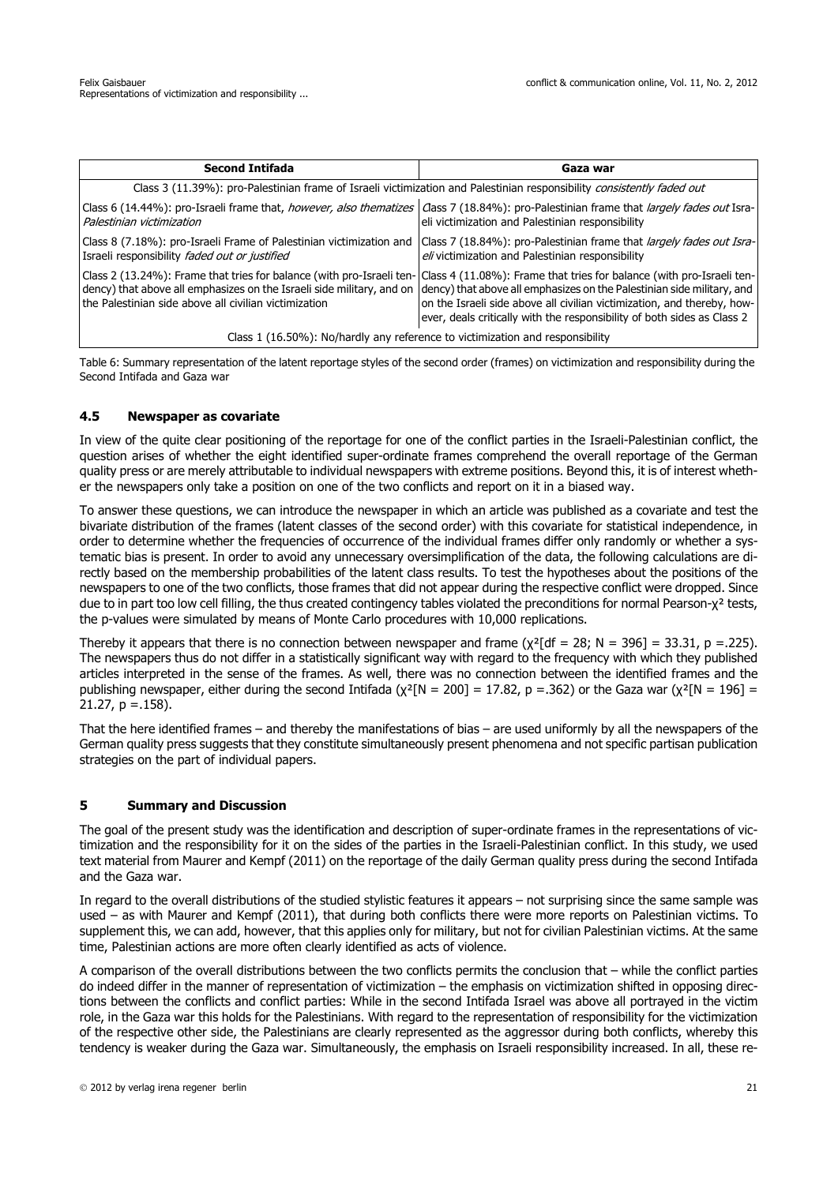| <b>Second Intifada</b>                                | Gaza war                                                                                                                                                                                                                                                                                                                                                                                                                                          |
|-------------------------------------------------------|---------------------------------------------------------------------------------------------------------------------------------------------------------------------------------------------------------------------------------------------------------------------------------------------------------------------------------------------------------------------------------------------------------------------------------------------------|
|                                                       | Class 3 (11.39%): pro-Palestinian frame of Israeli victimization and Palestinian responsibility consistently faded out                                                                                                                                                                                                                                                                                                                            |
| Palestinian victimization                             | Class 6 (14.44%): pro-Israeli frame that, however, also thematizes   Class 7 (18.84%): pro-Palestinian frame that largely fades out Isra-<br>eli victimization and Palestinian responsibility                                                                                                                                                                                                                                                     |
| Israeli responsibility faded out or justified         | Class 8 (7.18%): pro-Israeli Frame of Palestinian victimization and Class 7 (18.84%): pro-Palestinian frame that <i>largely fades out Isra-</i><br>eli victimization and Palestinian responsibility                                                                                                                                                                                                                                               |
| the Palestinian side above all civilian victimization | Class 2 (13.24%): Frame that tries for balance (with pro-Israeli ten- Class 4 (11.08%): Frame that tries for balance (with pro-Israeli ten-<br>dency) that above all emphasizes on the Israeli side military, and on dency) that above all emphasizes on the Palestinian side military, and<br>on the Israeli side above all civilian victimization, and thereby, how-<br>ever, deals critically with the responsibility of both sides as Class 2 |
|                                                       | Class 1 (16.50%): No/hardly any reference to victimization and responsibility                                                                                                                                                                                                                                                                                                                                                                     |

Table 6: Summary representation of the latent reportage styles of the second order (frames) on victimization and responsibility during the Second Intifada and Gaza war

## **4.5 Newspaper as covariate**

In view of the quite clear positioning of the reportage for one of the conflict parties in the Israeli-Palestinian conflict, the question arises of whether the eight identified super-ordinate frames comprehend the overall reportage of the German quality press or are merely attributable to individual newspapers with extreme positions. Beyond this, it is of interest whether the newspapers only take a position on one of the two conflicts and report on it in a biased way.

To answer these questions, we can introduce the newspaper in which an article was published as a covariate and test the bivariate distribution of the frames (latent classes of the second order) with this covariate for statistical independence, in order to determine whether the frequencies of occurrence of the individual frames differ only randomly or whether a systematic bias is present. In order to avoid any unnecessary oversimplification of the data, the following calculations are directly based on the membership probabilities of the latent class results. To test the hypotheses about the positions of the newspapers to one of the two conflicts, those frames that did not appear during the respective conflict were dropped. Since due to in part too low cell filling, the thus created contingency tables violated the preconditions for normal Pearson-χ<sup>2</sup> tests, the p-values were simulated by means of Monte Carlo procedures with 10,000 replications.

Thereby it appears that there is no connection between newspaper and frame ( $\chi^2$ [df = 28; N = 396] = 33.31, p =.225). The newspapers thus do not differ in a statistically significant way with regard to the frequency with which they published articles interpreted in the sense of the frames. As well, there was no connection between the identified frames and the publishing newspaper, either during the second Intifada ( $\chi^2$ [N = 200] = 17.82, p = .362) or the Gaza war ( $\chi^2$ [N = 196] =  $21.27$ ,  $p = .158$ ).

That the here identified frames – and thereby the manifestations of bias – are used uniformly by all the newspapers of the German quality press suggests that they constitute simultaneously present phenomena and not specific partisan publication strategies on the part of individual papers.

# **5 Summary and Discussion**

The goal of the present study was the identification and description of super-ordinate frames in the representations of victimization and the responsibility for it on the sides of the parties in the Israeli-Palestinian conflict. In this study, we used text material from Maurer and Kempf (2011) on the reportage of the daily German quality press during the second Intifada and the Gaza war.

In regard to the overall distributions of the studied stylistic features it appears – not surprising since the same sample was used – as with Maurer and Kempf (2011), that during both conflicts there were more reports on Palestinian victims. To supplement this, we can add, however, that this applies only for military, but not for civilian Palestinian victims. At the same time, Palestinian actions are more often clearly identified as acts of violence.

A comparison of the overall distributions between the two conflicts permits the conclusion that – while the conflict parties do indeed differ in the manner of representation of victimization – the emphasis on victimization shifted in opposing directions between the conflicts and conflict parties: While in the second Intifada Israel was above all portrayed in the victim role, in the Gaza war this holds for the Palestinians. With regard to the representation of responsibility for the victimization of the respective other side, the Palestinians are clearly represented as the aggressor during both conflicts, whereby this tendency is weaker during the Gaza war. Simultaneously, the emphasis on Israeli responsibility increased. In all, these re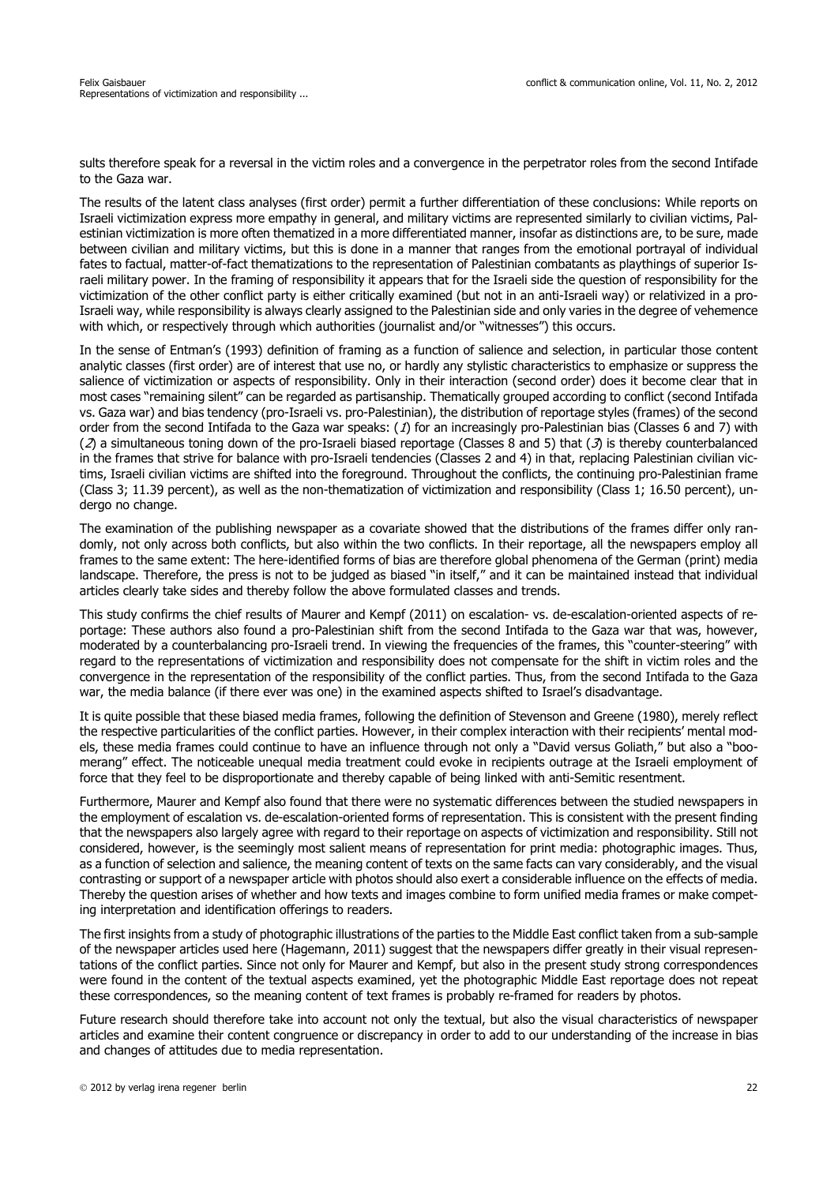sults therefore speak for a reversal in the victim roles and a convergence in the perpetrator roles from the second Intifade to the Gaza war.

The results of the latent class analyses (first order) permit a further differentiation of these conclusions: While reports on Israeli victimization express more empathy in general, and military victims are represented similarly to civilian victims, Palestinian victimization is more often thematized in a more differentiated manner, insofar as distinctions are, to be sure, made between civilian and military victims, but this is done in a manner that ranges from the emotional portrayal of individual fates to factual, matter-of-fact thematizations to the representation of Palestinian combatants as playthings of superior Israeli military power. In the framing of responsibility it appears that for the Israeli side the question of responsibility for the victimization of the other conflict party is either critically examined (but not in an anti-Israeli way) or relativized in a pro-Israeli way, while responsibility is always clearly assigned to the Palestinian side and only varies in the degree of vehemence with which, or respectively through which authorities (journalist and/or "witnesses") this occurs.

In the sense of Entman's (1993) definition of framing as a function of salience and selection, in particular those content analytic classes (first order) are of interest that use no, or hardly any stylistic characteristics to emphasize or suppress the salience of victimization or aspects of responsibility. Only in their interaction (second order) does it become clear that in most cases "remaining silent" can be regarded as partisanship. Thematically grouped according to conflict (second Intifada vs. Gaza war) and bias tendency (pro-Israeli vs. pro-Palestinian), the distribution of reportage styles (frames) of the second order from the second Intifada to the Gaza war speaks: (1) for an increasingly pro-Palestinian bias (Classes 6 and 7) with ( $2$ ) a simultaneous toning down of the pro-Israeli biased reportage (Classes 8 and 5) that ( $3$ ) is thereby counterbalanced in the frames that strive for balance with pro-Israeli tendencies (Classes 2 and 4) in that, replacing Palestinian civilian victims, Israeli civilian victims are shifted into the foreground. Throughout the conflicts, the continuing pro-Palestinian frame (Class 3; 11.39 percent), as well as the non-thematization of victimization and responsibility (Class 1; 16.50 percent), undergo no change.

The examination of the publishing newspaper as a covariate showed that the distributions of the frames differ only randomly, not only across both conflicts, but also within the two conflicts. In their reportage, all the newspapers employ all frames to the same extent: The here-identified forms of bias are therefore global phenomena of the German (print) media landscape. Therefore, the press is not to be judged as biased "in itself," and it can be maintained instead that individual articles clearly take sides and thereby follow the above formulated classes and trends.

This study confirms the chief results of Maurer and Kempf (2011) on escalation- vs. de-escalation-oriented aspects of reportage: These authors also found a pro-Palestinian shift from the second Intifada to the Gaza war that was, however, moderated by a counterbalancing pro-Israeli trend. In viewing the frequencies of the frames, this "counter-steering" with regard to the representations of victimization and responsibility does not compensate for the shift in victim roles and the convergence in the representation of the responsibility of the conflict parties. Thus, from the second Intifada to the Gaza war, the media balance (if there ever was one) in the examined aspects shifted to Israel's disadvantage.

It is quite possible that these biased media frames, following the definition of Stevenson and Greene (1980), merely reflect the respective particularities of the conflict parties. However, in their complex interaction with their recipients' mental models, these media frames could continue to have an influence through not only a "David versus Goliath," but also a "boomerang" effect. The noticeable unequal media treatment could evoke in recipients outrage at the Israeli employment of force that they feel to be disproportionate and thereby capable of being linked with anti-Semitic resentment.

Furthermore, Maurer and Kempf also found that there were no systematic differences between the studied newspapers in the employment of escalation vs. de-escalation-oriented forms of representation. This is consistent with the present finding that the newspapers also largely agree with regard to their reportage on aspects of victimization and responsibility. Still not considered, however, is the seemingly most salient means of representation for print media: photographic images. Thus, as a function of selection and salience, the meaning content of texts on the same facts can vary considerably, and the visual contrasting or support of a newspaper article with photos should also exert a considerable influence on the effects of media. Thereby the question arises of whether and how texts and images combine to form unified media frames or make competing interpretation and identification offerings to readers.

The first insights from a study of photographic illustrations of the parties to the Middle East conflict taken from a sub-sample of the newspaper articles used here (Hagemann, 2011) suggest that the newspapers differ greatly in their visual representations of the conflict parties. Since not only for Maurer and Kempf, but also in the present study strong correspondences were found in the content of the textual aspects examined, yet the photographic Middle East reportage does not repeat these correspondences, so the meaning content of text frames is probably re-framed for readers by photos.

Future research should therefore take into account not only the textual, but also the visual characteristics of newspaper articles and examine their content congruence or discrepancy in order to add to our understanding of the increase in bias and changes of attitudes due to media representation.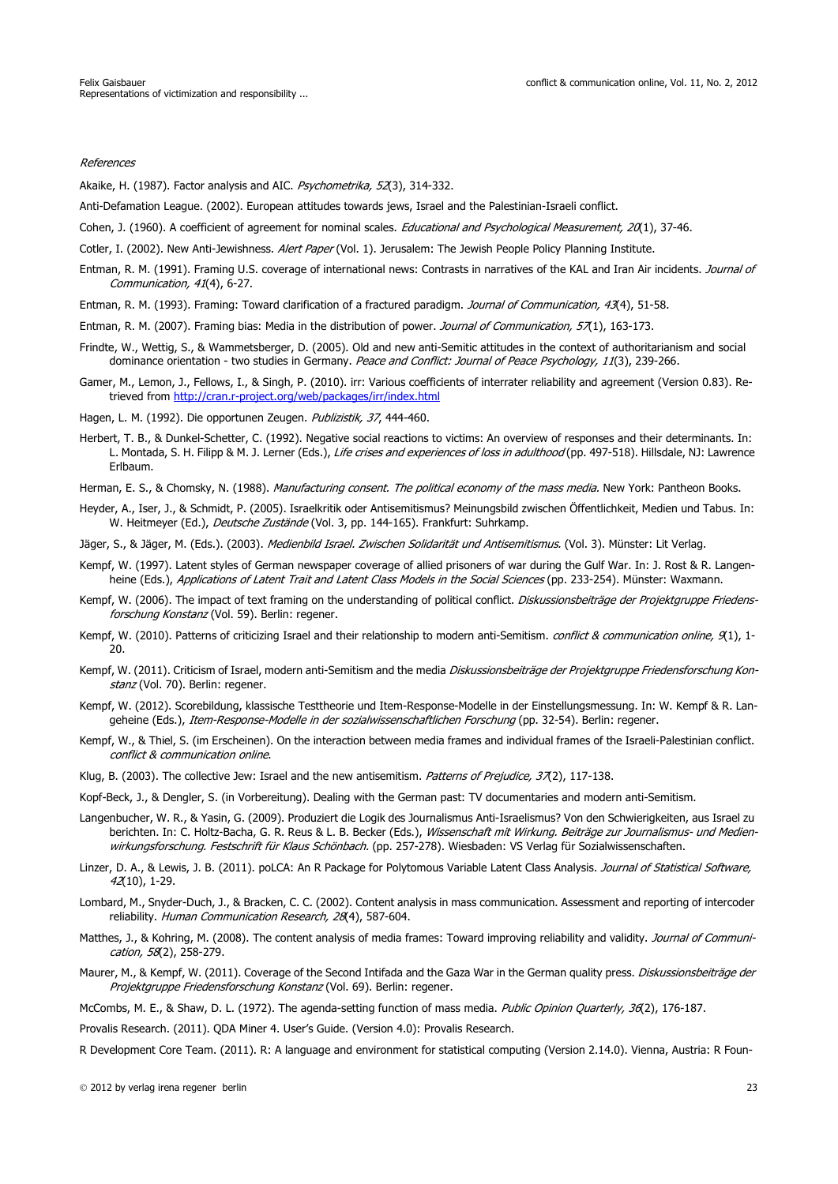#### References

Akaike, H. (1987). Factor analysis and AIC. Psychometrika, 52(3), 314-332.

Anti-Defamation League. (2002). European attitudes towards jews, Israel and the Palestinian-Israeli conflict.

Cohen, J. (1960). A coefficient of agreement for nominal scales. *Educational and Psychological Measurement, 20*(1), 37-46.

Cotler, I. (2002). New Anti-Jewishness. Alert Paper (Vol. 1). Jerusalem: The Jewish People Policy Planning Institute.

Entman, R. M. (1991). Framing U.S. coverage of international news: Contrasts in narratives of the KAL and Iran Air incidents. Journal of Communication, 41(4), 6-27.

Entman, R. M. (1993). Framing: Toward clarification of a fractured paradigm. Journal of Communication, 43(4), 51-58.

Entman, R. M. (2007). Framing bias: Media in the distribution of power. Journal of Communication, 57(1), 163-173.

- Frindte, W., Wettig, S., & Wammetsberger, D. (2005). Old and new anti-Semitic attitudes in the context of authoritarianism and social dominance orientation - two studies in Germany. Peace and Conflict: Journal of Peace Psychology, 11(3), 239-266.
- Gamer, M., Lemon, J., Fellows, I., & Singh, P. (2010). irr: Various coefficients of interrater reliability and agreement (Version 0.83). Retrieved from http://cran.r-project.org/web/packages/irr/index.html

Hagen, L. M. (1992). Die opportunen Zeugen. Publizistik, 37, 444-460.

- Herbert, T. B., & Dunkel-Schetter, C. (1992). Negative social reactions to victims: An overview of responses and their determinants. In: L. Montada, S. H. Filipp & M. J. Lerner (Eds.), Life crises and experiences of loss in adulthood (pp. 497-518). Hillsdale, NJ: Lawrence Erlbaum.
- Herman, E. S., & Chomsky, N. (1988). Manufacturing consent. The political economy of the mass media. New York: Pantheon Books.
- Heyder, A., Iser, J., & Schmidt, P. (2005). Israelkritik oder Antisemitismus? Meinungsbild zwischen Öffentlichkeit, Medien und Tabus. In: W. Heitmeyer (Ed.), Deutsche Zustände (Vol. 3, pp. 144-165). Frankfurt: Suhrkamp.
- Jäger, S., & Jäger, M. (Eds.). (2003). Medienbild Israel. Zwischen Solidarität und Antisemitismus. (Vol. 3). Münster: Lit Verlag.
- Kempf, W. (1997). Latent styles of German newspaper coverage of allied prisoners of war during the Gulf War. In: J. Rost & R. Langenheine (Eds.), Applications of Latent Trait and Latent Class Models in the Social Sciences (pp. 233-254). Münster: Waxmann.
- Kempf, W. (2006). The impact of text framing on the understanding of political conflict. Diskussionsbeiträge der Projektgruppe Friedensforschung Konstanz (Vol. 59). Berlin: regener.
- Kempf, W. (2010). Patterns of criticizing Israel and their relationship to modern anti-Semitism. conflict & communication online,  $\mathcal{R}_1$ ), 1-20.
- Kempf, W. (2011). Criticism of Israel, modern anti-Semitism and the media Diskussionsbeiträge der Projektgruppe Friedensforschung Konstanz (Vol. 70). Berlin: regener.
- Kempf, W. (2012). Scorebildung, klassische Testtheorie und Item-Response-Modelle in der Einstellungsmessung. In: W. Kempf & R. Langeheine (Eds.), Item-Response-Modelle in der sozialwissenschaftlichen Forschung (pp. 32-54). Berlin: regener.
- Kempf, W., & Thiel, S. (im Erscheinen). On the interaction between media frames and individual frames of the Israeli-Palestinian conflict. conflict & communication online.
- Klug, B. (2003). The collective Jew: Israel and the new antisemitism. Patterns of Prejudice,  $37(2)$ , 117-138.
- Kopf-Beck, J., & Dengler, S. (in Vorbereitung). Dealing with the German past: TV documentaries and modern anti-Semitism.
- Langenbucher, W. R., & Yasin, G. (2009). Produziert die Logik des Journalismus Anti-Israelismus? Von den Schwierigkeiten, aus Israel zu berichten. In: C. Holtz-Bacha, G. R. Reus & L. B. Becker (Eds.), Wissenschaft mit Wirkung. Beiträge zur Journalismus- und Medienwirkungsforschung. Festschrift für Klaus Schönbach. (pp. 257-278). Wiesbaden: VS Verlag für Sozialwissenschaften.
- Linzer, D. A., & Lewis, J. B. (2011). poLCA: An R Package for Polytomous Variable Latent Class Analysis. Journal of Statistical Software, 42(10), 1-29.
- Lombard, M., Snyder-Duch, J., & Bracken, C. C. (2002). Content analysis in mass communication. Assessment and reporting of intercoder reliability. Human Communication Research, 28(4), 587-604.
- Matthes, J., & Kohring, M. (2008). The content analysis of media frames: Toward improving reliability and validity. Journal of Communication, 58(2), 258-279.
- Maurer, M., & Kempf, W. (2011). Coverage of the Second Intifada and the Gaza War in the German quality press. Diskussionsbeiträge der Projektgruppe Friedensforschung Konstanz (Vol. 69). Berlin: regener.
- McCombs, M. E., & Shaw, D. L. (1972). The agenda-setting function of mass media. Public Opinion Quarterly, 36(2), 176-187.

Provalis Research. (2011). QDA Miner 4. User's Guide. (Version 4.0): Provalis Research.

R Development Core Team. (2011). R: A language and environment for statistical computing (Version 2.14.0). Vienna, Austria: R Foun-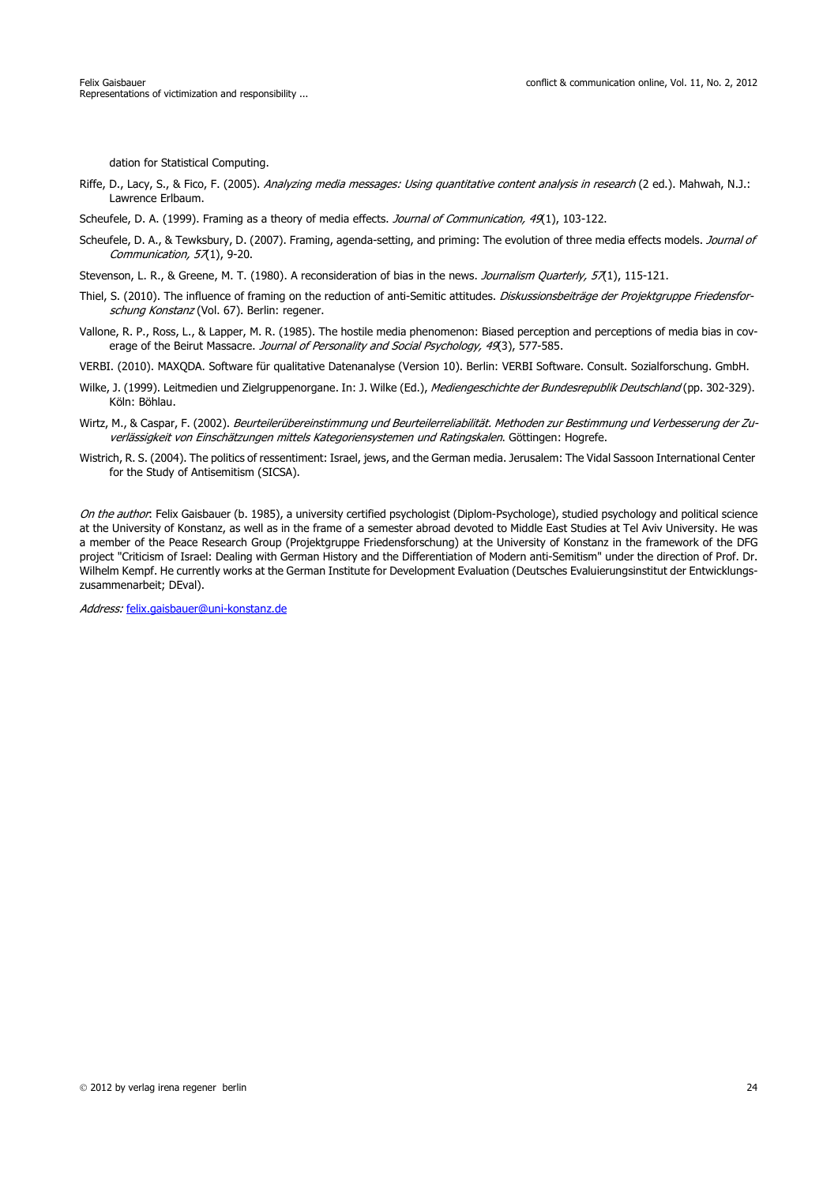dation for Statistical Computing.

- Riffe, D., Lacy, S., & Fico, F. (2005). Analyzing media messages: Using quantitative content analysis in research (2 ed.). Mahwah, N.J.: Lawrence Erlbaum.
- Scheufele, D. A. (1999). Framing as a theory of media effects. Journal of Communication, 49(1), 103-122.
- Scheufele, D. A., & Tewksbury, D. (2007). Framing, agenda-setting, and priming: The evolution of three media effects models. Journal of Communication,  $57(1)$ , 9-20.
- Stevenson, L. R., & Greene, M. T. (1980). A reconsideration of bias in the news. Journalism Quarterly, 57(1), 115-121.
- Thiel, S. (2010). The influence of framing on the reduction of anti-Semitic attitudes. Diskussionsbeiträge der Projektgruppe Friedensforschung Konstanz (Vol. 67). Berlin: regener.
- Vallone, R. P., Ross, L., & Lapper, M. R. (1985). The hostile media phenomenon: Biased perception and perceptions of media bias in coverage of the Beirut Massacre. Journal of Personality and Social Psychology, 49(3), 577-585.
- VERBI. (2010). MAXQDA. Software für qualitative Datenanalyse (Version 10). Berlin: VERBI Software. Consult. Sozialforschung. GmbH.
- Wilke, J. (1999). Leitmedien und Zielgruppenorgane. In: J. Wilke (Ed.), Mediengeschichte der Bundesrepublik Deutschland (pp. 302-329). Köln: Böhlau.
- Wirtz, M., & Caspar, F. (2002). Beurteilerübereinstimmung und Beurteilerreliabilität. Methoden zur Bestimmung und Verbesserung der Zuverlässigkeit von Einschätzungen mittels Kategoriensystemen und Ratingskalen. Göttingen: Hogrefe.
- Wistrich, R. S. (2004). The politics of ressentiment: Israel, jews, and the German media. Jerusalem: The Vidal Sassoon International Center for the Study of Antisemitism (SICSA).

On the author: Felix Gaisbauer (b. 1985), a university certified psychologist (Diplom-Psychologe), studied psychology and political science at the University of Konstanz, as well as in the frame of a semester abroad devoted to Middle East Studies at Tel Aviv University. He was a member of the Peace Research Group (Projektgruppe Friedensforschung) at the University of Konstanz in the framework of the DFG project "Criticism of Israel: Dealing with German History and the Differentiation of Modern anti-Semitism" under the direction of Prof. Dr. Wilhelm Kempf. He currently works at the German Institute for Development Evaluation (Deutsches Evaluierungsinstitut der Entwicklungszusammenarbeit; DEval).

Address: felix.gaisbauer@uni-konstanz.de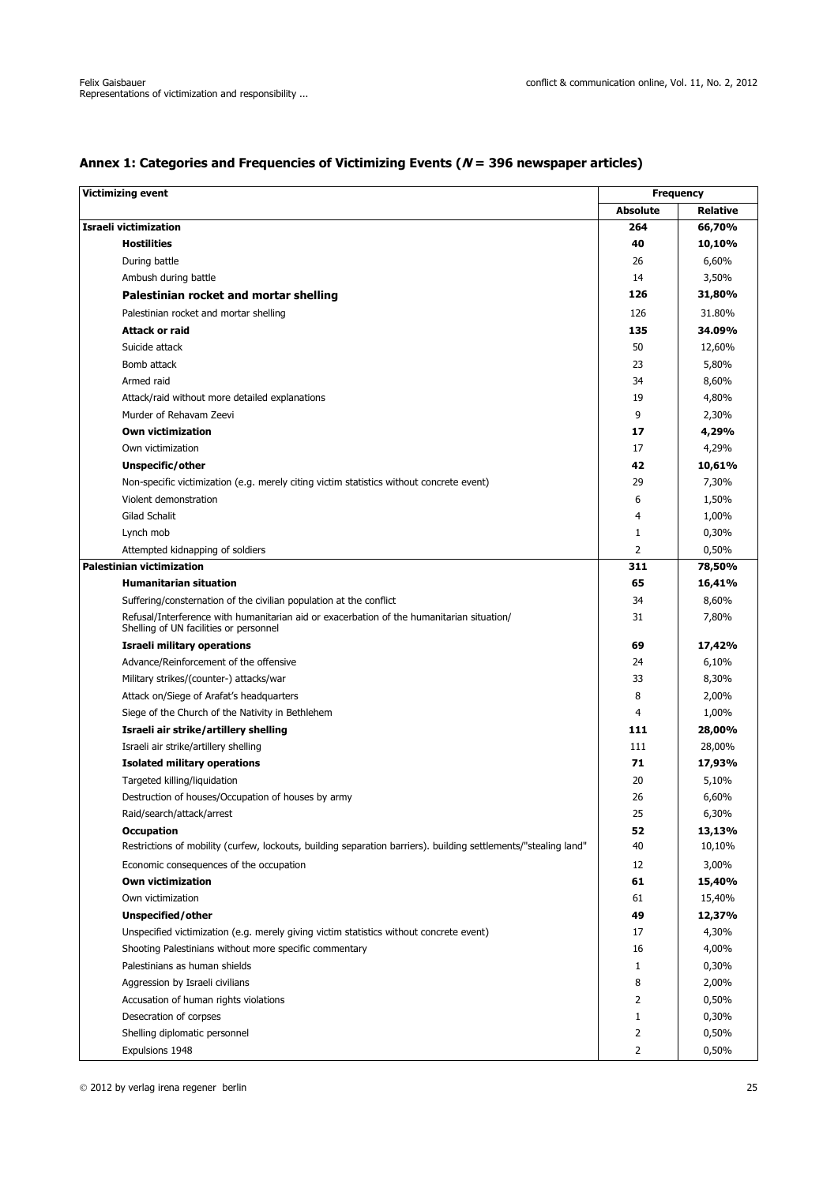| <b>Victimizing event</b>                                                                                                            |                 | <b>Frequency</b> |
|-------------------------------------------------------------------------------------------------------------------------------------|-----------------|------------------|
|                                                                                                                                     | <b>Absolute</b> | <b>Relative</b>  |
| <b>Israeli victimization</b>                                                                                                        | 264             | 66,70%           |
| <b>Hostilities</b>                                                                                                                  | 40              | 10,10%           |
| During battle                                                                                                                       | 26              | 6,60%            |
| Ambush during battle                                                                                                                | 14              | 3,50%            |
| Palestinian rocket and mortar shelling                                                                                              | 126             | 31,80%           |
| Palestinian rocket and mortar shelling                                                                                              | 126             | 31.80%           |
| Attack or raid                                                                                                                      | 135             | 34.09%           |
| Suicide attack                                                                                                                      | 50              | 12,60%           |
| Bomb attack                                                                                                                         | 23              | 5,80%            |
| Armed raid                                                                                                                          | 34              | 8,60%            |
| Attack/raid without more detailed explanations                                                                                      | 19              | 4,80%            |
| Murder of Rehavam Zeevi                                                                                                             | 9               | 2,30%            |
| <b>Own victimization</b>                                                                                                            | 17              | 4,29%            |
| Own victimization                                                                                                                   | 17              | 4,29%            |
| Unspecific/other                                                                                                                    | 42              | 10,61%           |
| Non-specific victimization (e.g. merely citing victim statistics without concrete event)                                            | 29              | 7,30%            |
| Violent demonstration                                                                                                               | 6               | 1,50%            |
| Gilad Schalit                                                                                                                       | 4               | 1,00%            |
| Lynch mob                                                                                                                           | 1               | 0,30%            |
| Attempted kidnapping of soldiers                                                                                                    | 2               | 0,50%            |
| <b>Palestinian victimization</b>                                                                                                    | 311             | 78,50%           |
| <b>Humanitarian situation</b>                                                                                                       | 65              | 16,41%           |
| Suffering/consternation of the civilian population at the conflict                                                                  | 34              | 8,60%            |
| Refusal/Interference with humanitarian aid or exacerbation of the humanitarian situation/<br>Shelling of UN facilities or personnel | 31              | 7,80%            |
| Israeli military operations                                                                                                         | 69              | 17,42%           |
| Advance/Reinforcement of the offensive                                                                                              | 24              | 6,10%            |
| Military strikes/(counter-) attacks/war                                                                                             | 33              | 8,30%            |
| Attack on/Siege of Arafat's headquarters                                                                                            | 8               | 2,00%            |
| Siege of the Church of the Nativity in Bethlehem                                                                                    | 4               | 1,00%            |
| Israeli air strike/artillery shelling                                                                                               | 111             | 28,00%           |
| Israeli air strike/artillery shelling                                                                                               | 111             | 28,00%           |
| <b>Isolated military operations</b>                                                                                                 | 71              | 17,93%           |
| Targeted killing/liguidation                                                                                                        | 20              | 5,10%            |
| Destruction of houses/Occupation of houses by army                                                                                  | 26              | 6,60%            |
| Raid/search/attack/arrest                                                                                                           | 25              | 6,30%            |
| <b>Occupation</b>                                                                                                                   | 52              | 13,13%           |
| Restrictions of mobility (curfew, lockouts, building separation barriers). building settlements/"stealing land"                     | 40              | 10,10%           |
| Economic consequences of the occupation                                                                                             | 12              | 3,00%            |
| <b>Own victimization</b>                                                                                                            | 61              | 15,40%           |
| Own victimization                                                                                                                   | 61              | 15,40%           |
| Unspecified/other                                                                                                                   | 49              | 12,37%           |
| Unspecified victimization (e.g. merely giving victim statistics without concrete event)                                             | 17              | 4,30%            |
| Shooting Palestinians without more specific commentary                                                                              | 16              | 4,00%            |
| Palestinians as human shields                                                                                                       | 1               | 0,30%            |
| Aggression by Israeli civilians                                                                                                     | 8               | 2,00%            |
| Accusation of human rights violations                                                                                               | $\overline{2}$  | 0,50%            |
| Desecration of corpses                                                                                                              | 1               | 0,30%            |
| Shelling diplomatic personnel                                                                                                       | 2               | 0,50%            |
| Expulsions 1948                                                                                                                     | $\overline{2}$  | 0,50%            |

# **Annex 1: Categories and Frequencies of Victimizing Events (N = 396 newspaper articles)**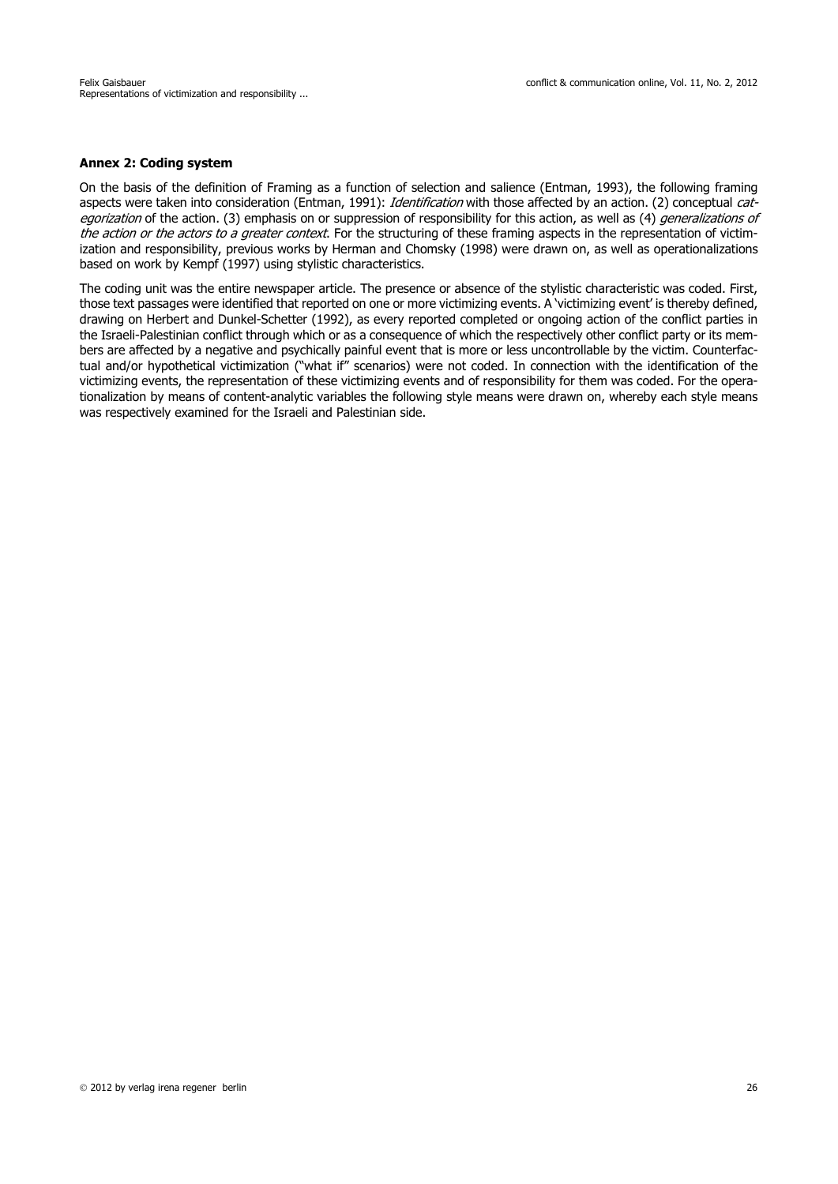### **Annex 2: Coding system**

On the basis of the definition of Framing as a function of selection and salience (Entman, 1993), the following framing aspects were taken into consideration (Entman, 1991): Identification with those affected by an action. (2) conceptual categorization of the action. (3) emphasis on or suppression of responsibility for this action, as well as (4) *generalizations of* the action or the actors to a greater context. For the structuring of these framing aspects in the representation of victimization and responsibility, previous works by Herman and Chomsky (1998) were drawn on, as well as operationalizations based on work by Kempf (1997) using stylistic characteristics.

The coding unit was the entire newspaper article. The presence or absence of the stylistic characteristic was coded. First, those text passages were identified that reported on one or more victimizing events. A 'victimizing event' is thereby defined, drawing on Herbert and Dunkel-Schetter (1992), as every reported completed or ongoing action of the conflict parties in the Israeli-Palestinian conflict through which or as a consequence of which the respectively other conflict party or its members are affected by a negative and psychically painful event that is more or less uncontrollable by the victim. Counterfactual and/or hypothetical victimization ("what if" scenarios) were not coded. In connection with the identification of the victimizing events, the representation of these victimizing events and of responsibility for them was coded. For the operationalization by means of content-analytic variables the following style means were drawn on, whereby each style means was respectively examined for the Israeli and Palestinian side.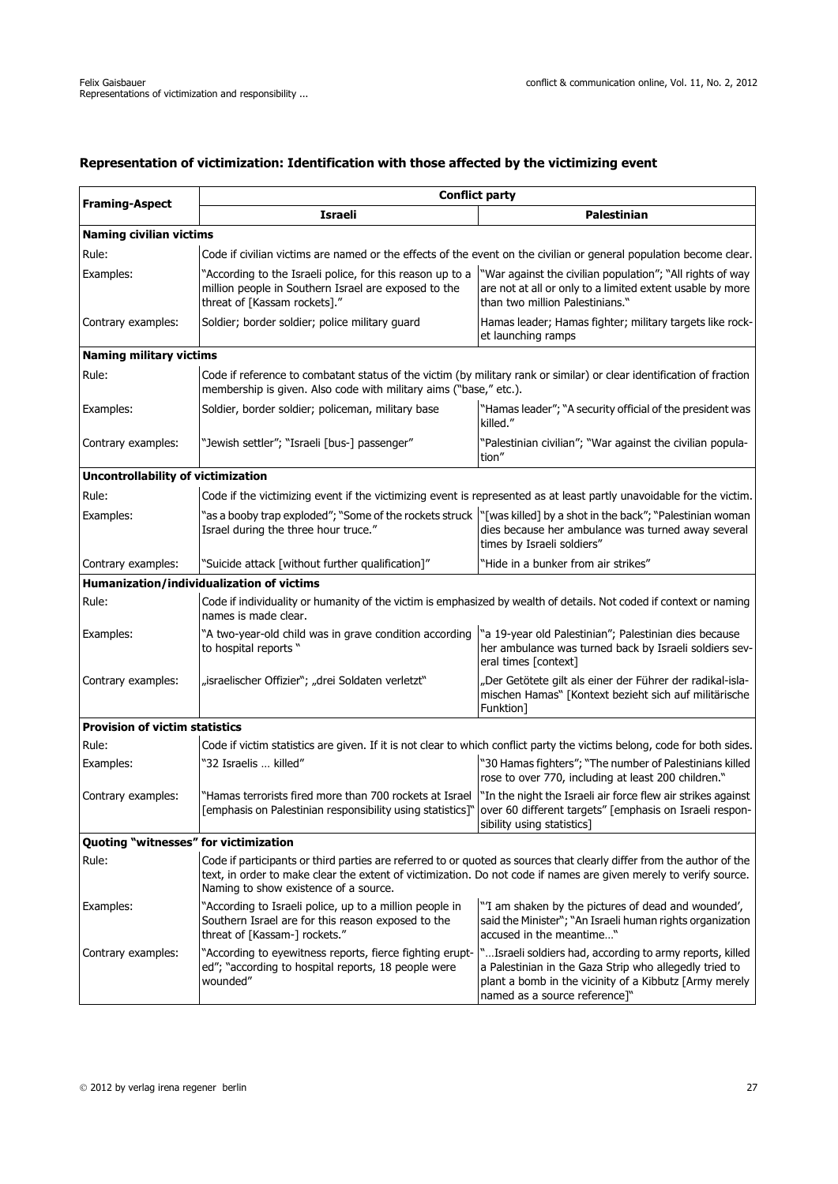# **Representation of victimization: Identification with those affected by the victimizing event**

| <b>Framing-Aspect</b>                     | <b>Conflict party</b>                                                                                                                                                                                                                                                               |                                                                                                                                                                                                                    |  |  |  |
|-------------------------------------------|-------------------------------------------------------------------------------------------------------------------------------------------------------------------------------------------------------------------------------------------------------------------------------------|--------------------------------------------------------------------------------------------------------------------------------------------------------------------------------------------------------------------|--|--|--|
|                                           | <b>Israeli</b>                                                                                                                                                                                                                                                                      | Palestinian                                                                                                                                                                                                        |  |  |  |
| <b>Naming civilian victims</b>            |                                                                                                                                                                                                                                                                                     |                                                                                                                                                                                                                    |  |  |  |
| Rule:                                     |                                                                                                                                                                                                                                                                                     | Code if civilian victims are named or the effects of the event on the civilian or general population become clear.                                                                                                 |  |  |  |
| Examples:                                 | "According to the Israeli police, for this reason up to a<br>million people in Southern Israel are exposed to the<br>threat of [Kassam rockets]."                                                                                                                                   | "War against the civilian population"; "All rights of way<br>are not at all or only to a limited extent usable by more<br>than two million Palestinians."                                                          |  |  |  |
| Contrary examples:                        | Soldier; border soldier; police military guard                                                                                                                                                                                                                                      | Hamas leader; Hamas fighter; military targets like rock-<br>et launching ramps                                                                                                                                     |  |  |  |
| <b>Naming military victims</b>            |                                                                                                                                                                                                                                                                                     |                                                                                                                                                                                                                    |  |  |  |
| Rule:                                     | Code if reference to combatant status of the victim (by military rank or similar) or clear identification of fraction<br>membership is given. Also code with military aims ("base," etc.).                                                                                          |                                                                                                                                                                                                                    |  |  |  |
| Examples:                                 | Soldier, border soldier; policeman, military base                                                                                                                                                                                                                                   | "Hamas leader"; "A security official of the president was<br>killed."                                                                                                                                              |  |  |  |
| Contrary examples:                        | "Jewish settler"; "Israeli [bus-] passenger"                                                                                                                                                                                                                                        | "Palestinian civilian"; "War against the civilian popula-<br>tion"                                                                                                                                                 |  |  |  |
| <b>Uncontrollability of victimization</b> |                                                                                                                                                                                                                                                                                     |                                                                                                                                                                                                                    |  |  |  |
| Rule:                                     |                                                                                                                                                                                                                                                                                     | Code if the victimizing event if the victimizing event is represented as at least partly unavoidable for the victim.                                                                                               |  |  |  |
| Examples:                                 | "as a booby trap exploded"; "Some of the rockets struck<br>Israel during the three hour truce."                                                                                                                                                                                     | "[was killed] by a shot in the back"; "Palestinian woman"<br>dies because her ambulance was turned away several<br>times by Israeli soldiers"                                                                      |  |  |  |
| Contrary examples:                        | "Suicide attack [without further qualification]"                                                                                                                                                                                                                                    | 'Hide in a bunker from air strikes"                                                                                                                                                                                |  |  |  |
|                                           | Humanization/individualization of victims                                                                                                                                                                                                                                           |                                                                                                                                                                                                                    |  |  |  |
| Rule:                                     | Code if individuality or humanity of the victim is emphasized by wealth of details. Not coded if context or naming<br>names is made clear.                                                                                                                                          |                                                                                                                                                                                                                    |  |  |  |
| Examples:                                 | "A two-year-old child was in grave condition according<br>to hospital reports "                                                                                                                                                                                                     | "a 19-year old Palestinian"; Palestinian dies because<br>her ambulance was turned back by Israeli soldiers sev-<br>eral times [context]                                                                            |  |  |  |
| Contrary examples:                        | "israelischer Offizier"; "drei Soldaten verletzt"                                                                                                                                                                                                                                   | "Der Getötete gilt als einer der Führer der radikal-isla-<br>mischen Hamas" [Kontext bezieht sich auf militärische<br>Funktion]                                                                                    |  |  |  |
| <b>Provision of victim statistics</b>     |                                                                                                                                                                                                                                                                                     |                                                                                                                                                                                                                    |  |  |  |
| Rule:                                     |                                                                                                                                                                                                                                                                                     | Code if victim statistics are given. If it is not clear to which conflict party the victims belong, code for both sides.                                                                                           |  |  |  |
| Examples:                                 | "32 Israelis  killed"                                                                                                                                                                                                                                                               | "30 Hamas fighters"; "The number of Palestinians killed<br>rose to over 770, including at least 200 children."                                                                                                     |  |  |  |
| Contrary examples:                        | "Hamas terrorists fired more than 700 rockets at Israel                                                                                                                                                                                                                             | "In the night the Israeli air force flew air strikes against<br>[emphasis on Palestinian responsibility using statistics]"   over 60 different targets" [emphasis on Israeli respon-<br>sibility using statistics] |  |  |  |
| Quoting "witnesses" for victimization     |                                                                                                                                                                                                                                                                                     |                                                                                                                                                                                                                    |  |  |  |
| Rule:                                     | Code if participants or third parties are referred to or quoted as sources that clearly differ from the author of the<br>text, in order to make clear the extent of victimization. Do not code if names are given merely to verify source.<br>Naming to show existence of a source. |                                                                                                                                                                                                                    |  |  |  |
| Examples:                                 | "According to Israeli police, up to a million people in<br>Southern Israel are for this reason exposed to the<br>threat of [Kassam-] rockets."                                                                                                                                      | "'I am shaken by the pictures of dead and wounded',<br>said the Minister"; "An Israeli human rights organization<br>accused in the meantime"                                                                       |  |  |  |
| Contrary examples:                        | "According to eyewitness reports, fierce fighting erupt-<br>ed"; "according to hospital reports, 18 people were<br>wounded"                                                                                                                                                         | "Israeli soldiers had, according to army reports, killed<br>a Palestinian in the Gaza Strip who allegedly tried to<br>plant a bomb in the vicinity of a Kibbutz [Army merely<br>named as a source reference]"      |  |  |  |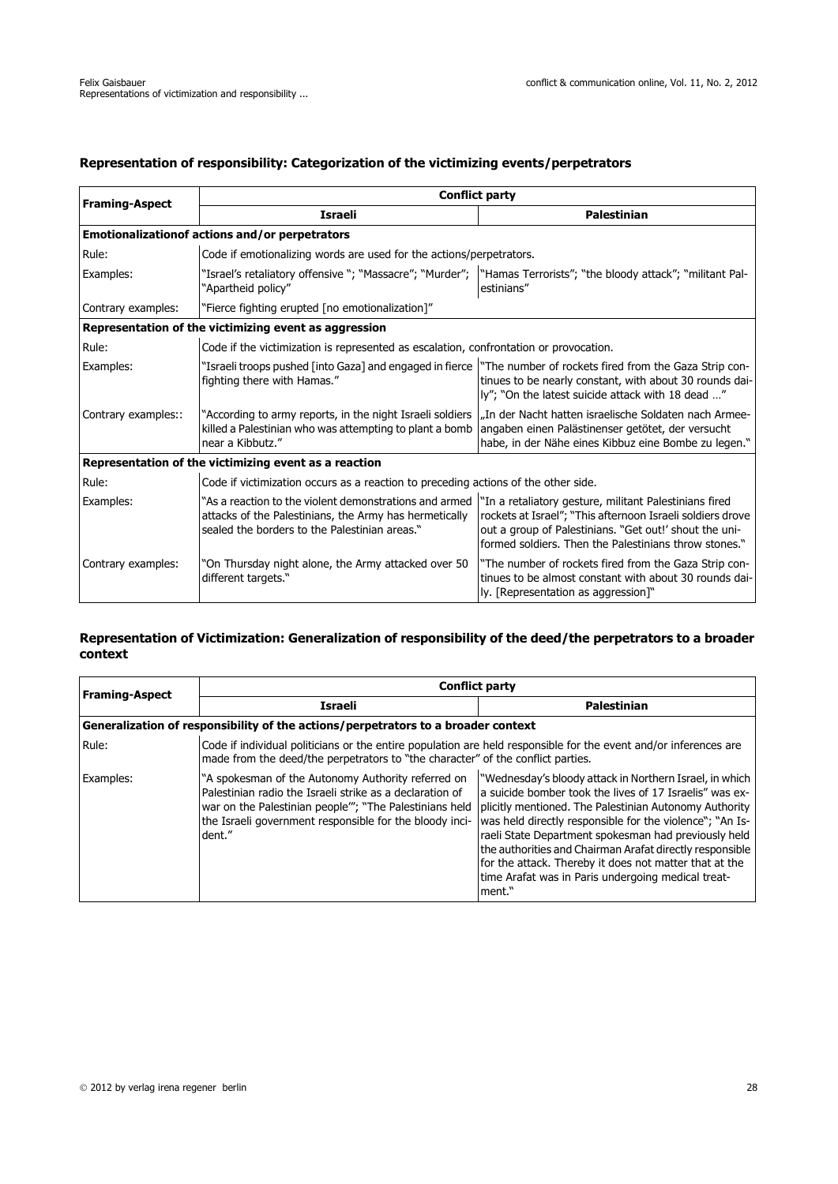# **Representation of responsibility: Categorization of the victimizing events/perpetrators**

| <b>Framing-Aspect</b> | <b>Conflict party</b>                                                                                                                                                                                                     |                                                                                                                                                                               |  |  |  |  |  |
|-----------------------|---------------------------------------------------------------------------------------------------------------------------------------------------------------------------------------------------------------------------|-------------------------------------------------------------------------------------------------------------------------------------------------------------------------------|--|--|--|--|--|
|                       | <b>Israeli</b>                                                                                                                                                                                                            | <b>Palestinian</b>                                                                                                                                                            |  |  |  |  |  |
|                       | Emotionalizationof actions and/or perpetrators                                                                                                                                                                            |                                                                                                                                                                               |  |  |  |  |  |
| Rule:                 | Code if emotionalizing words are used for the actions/perpetrators.                                                                                                                                                       |                                                                                                                                                                               |  |  |  |  |  |
| Examples:             | "Israel's retaliatory offensive "; "Massacre"; "Murder";  "Hamas Terrorists"; "the bloody attack"; "militant Pal-<br>"Apartheid policy"                                                                                   | estinians"                                                                                                                                                                    |  |  |  |  |  |
| Contrary examples:    | "Fierce fighting erupted [no emotionalization]"                                                                                                                                                                           |                                                                                                                                                                               |  |  |  |  |  |
|                       | Representation of the victimizing event as aggression                                                                                                                                                                     |                                                                                                                                                                               |  |  |  |  |  |
| Rule:                 | Code if the victimization is represented as escalation, confrontation or provocation.                                                                                                                                     |                                                                                                                                                                               |  |  |  |  |  |
| Examples:             | "Israeli troops pushed [into Gaza] and engaged in fierce  <br>fighting there with Hamas."                                                                                                                                 | "The number of rockets fired from the Gaza Strip con-<br>tinues to be nearly constant, with about 30 rounds dai-<br>ly"; "On the latest suicide attack with 18 dead "         |  |  |  |  |  |
| Contrary examples::   | killed a Palestinian who was attempting to plant a bomb angaben einen Palästinenser getötet, der versucht<br>near a Kibbutz."                                                                                             | "According to army reports, in the night Israeli soldiers   "In der Nacht hatten israelische Soldaten nach Armee-<br>habe, in der Nähe eines Kibbuz eine Bombe zu legen."     |  |  |  |  |  |
|                       | Representation of the victimizing event as a reaction                                                                                                                                                                     |                                                                                                                                                                               |  |  |  |  |  |
| Rule:                 | Code if victimization occurs as a reaction to preceding actions of the other side.                                                                                                                                        |                                                                                                                                                                               |  |  |  |  |  |
| Examples:             | "As a reaction to the violent demonstrations and armed  "In a retaliatory gesture, militant Palestinians fired<br>attacks of the Palestinians, the Army has hermetically<br>sealed the borders to the Palestinian areas." | rockets at Israel"; "This afternoon Israeli soldiers drove<br>out a group of Palestinians. "Get out!' shout the uni-<br>formed soldiers. Then the Palestinians throw stones." |  |  |  |  |  |
| Contrary examples:    | "On Thursday night alone, the Army attacked over 50<br>different targets."                                                                                                                                                | "The number of rockets fired from the Gaza Strip con-<br>tinues to be almost constant with about 30 rounds dai-<br>ly. [Representation as aggression]"                        |  |  |  |  |  |

# **Representation of Victimization: Generalization of responsibility of the deed/the perpetrators to a broader context**

| <b>Framing-Aspect</b> | <b>Conflict party</b>                                                                                                                                                                                                                          |                                                                                                                                                                                                                                                                                                                                                                                                                                                                                        |  |  |  |  |  |  |
|-----------------------|------------------------------------------------------------------------------------------------------------------------------------------------------------------------------------------------------------------------------------------------|----------------------------------------------------------------------------------------------------------------------------------------------------------------------------------------------------------------------------------------------------------------------------------------------------------------------------------------------------------------------------------------------------------------------------------------------------------------------------------------|--|--|--|--|--|--|
|                       | Israeli                                                                                                                                                                                                                                        | Palestinian                                                                                                                                                                                                                                                                                                                                                                                                                                                                            |  |  |  |  |  |  |
|                       | Generalization of responsibility of the actions/perpetrators to a broader context                                                                                                                                                              |                                                                                                                                                                                                                                                                                                                                                                                                                                                                                        |  |  |  |  |  |  |
| Rule:                 | Code if individual politicians or the entire population are held responsible for the event and/or inferences are<br>made from the deed/the perpetrators to "the character" of the conflict parties.                                            |                                                                                                                                                                                                                                                                                                                                                                                                                                                                                        |  |  |  |  |  |  |
| Examples:             | "A spokesman of the Autonomy Authority referred on<br>Palestinian radio the Israeli strike as a declaration of<br>war on the Palestinian people"'; "The Palestinians held<br>the Israeli government responsible for the bloody inci-<br>dent." | "Wednesday's bloody attack in Northern Israel, in which<br>a suicide bomber took the lives of 17 Israelis" was ex-<br>plicitly mentioned. The Palestinian Autonomy Authority<br>was held directly responsible for the violence"; "An Is-<br>raeli State Department spokesman had previously held<br>the authorities and Chairman Arafat directly responsible<br>for the attack. Thereby it does not matter that at the<br>time Arafat was in Paris undergoing medical treat-<br>ment." |  |  |  |  |  |  |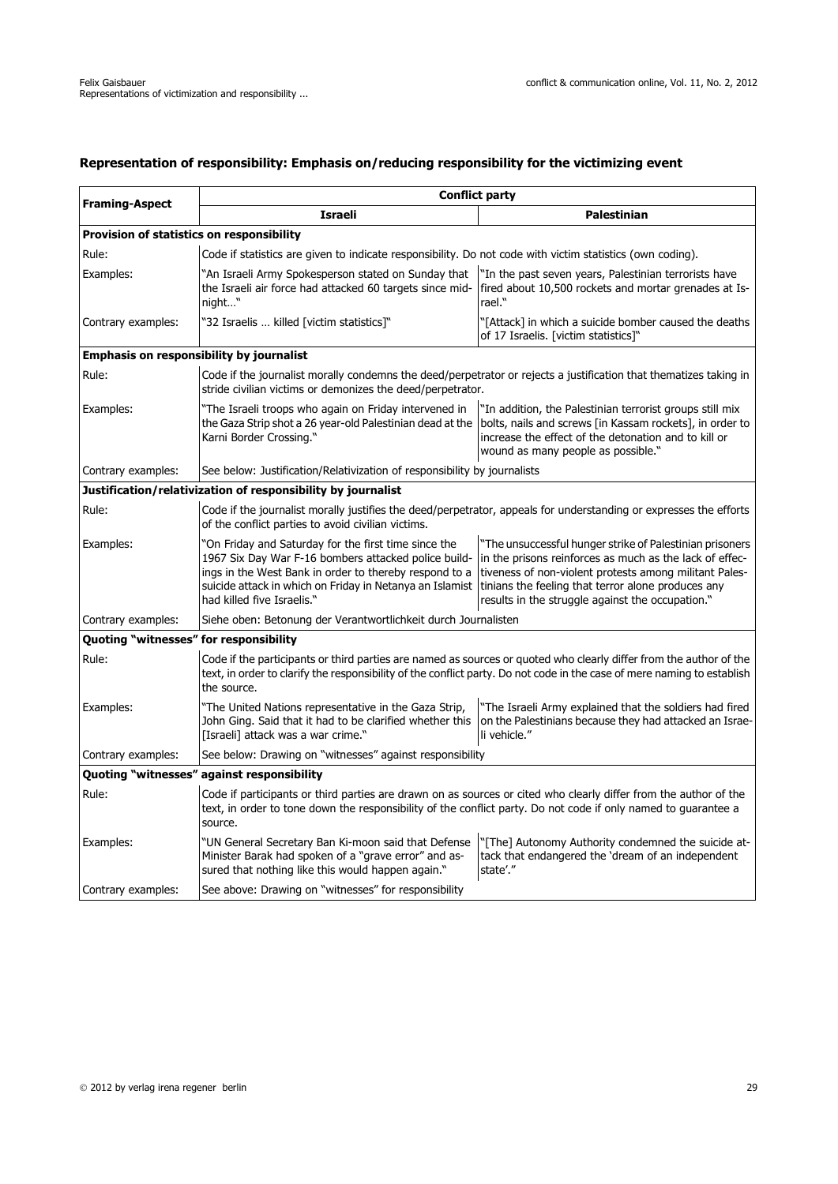# **Representation of responsibility: Emphasis on/reducing responsibility for the victimizing event**

| <b>Framing-Aspect</b>                           | <b>Conflict party</b>                                                                                                                                                                                                                                            |                                                                                                                                                                                                                                                                                         |  |  |  |  |  |
|-------------------------------------------------|------------------------------------------------------------------------------------------------------------------------------------------------------------------------------------------------------------------------------------------------------------------|-----------------------------------------------------------------------------------------------------------------------------------------------------------------------------------------------------------------------------------------------------------------------------------------|--|--|--|--|--|
|                                                 | Israeli                                                                                                                                                                                                                                                          | <b>Palestinian</b>                                                                                                                                                                                                                                                                      |  |  |  |  |  |
| Provision of statistics on responsibility       |                                                                                                                                                                                                                                                                  |                                                                                                                                                                                                                                                                                         |  |  |  |  |  |
| Rule:                                           |                                                                                                                                                                                                                                                                  | Code if statistics are given to indicate responsibility. Do not code with victim statistics (own coding).                                                                                                                                                                               |  |  |  |  |  |
| Examples:                                       | 'An Israeli Army Spokesperson stated on Sunday that<br>the Israeli air force had attacked 60 targets since mid-<br>night"                                                                                                                                        | "In the past seven years, Palestinian terrorists have<br>fired about 10,500 rockets and mortar grenades at Is-<br>rael."                                                                                                                                                                |  |  |  |  |  |
| Contrary examples:                              | "32 Israelis  killed [victim statistics]"                                                                                                                                                                                                                        | '[Attack] in which a suicide bomber caused the deaths<br>of 17 Israelis. [victim statistics]"                                                                                                                                                                                           |  |  |  |  |  |
| <b>Emphasis on responsibility by journalist</b> |                                                                                                                                                                                                                                                                  |                                                                                                                                                                                                                                                                                         |  |  |  |  |  |
| Rule:                                           | Code if the journalist morally condemns the deed/perpetrator or rejects a justification that thematizes taking in<br>stride civilian victims or demonizes the deed/perpetrator.                                                                                  |                                                                                                                                                                                                                                                                                         |  |  |  |  |  |
| Examples:                                       | "The Israeli troops who again on Friday intervened in<br>Karni Border Crossing."                                                                                                                                                                                 | "In addition, the Palestinian terrorist groups still mix<br>the Gaza Strip shot a 26 year-old Palestinian dead at the bolts, nails and screws [in Kassam rockets], in order to<br>increase the effect of the detonation and to kill or<br>wound as many people as possible."            |  |  |  |  |  |
| Contrary examples:                              | See below: Justification/Relativization of responsibility by journalists                                                                                                                                                                                         |                                                                                                                                                                                                                                                                                         |  |  |  |  |  |
|                                                 | Justification/relativization of responsibility by journalist                                                                                                                                                                                                     |                                                                                                                                                                                                                                                                                         |  |  |  |  |  |
| Rule:                                           | Code if the journalist morally justifies the deed/perpetrator, appeals for understanding or expresses the efforts<br>of the conflict parties to avoid civilian victims.                                                                                          |                                                                                                                                                                                                                                                                                         |  |  |  |  |  |
| Examples:                                       | 'On Friday and Saturday for the first time since the<br>1967 Six Day War F-16 bombers attacked police build-<br>ings in the West Bank in order to thereby respond to a<br>suicide attack in which on Friday in Netanya an Islamist<br>had killed five Israelis." | "The unsuccessful hunger strike of Palestinian prisoners<br>in the prisons reinforces as much as the lack of effec-<br>tiveness of non-violent protests among militant Pales-<br>tinians the feeling that terror alone produces any<br>results in the struggle against the occupation." |  |  |  |  |  |
| Contrary examples:                              | Siehe oben: Betonung der Verantwortlichkeit durch Journalisten                                                                                                                                                                                                   |                                                                                                                                                                                                                                                                                         |  |  |  |  |  |
| Quoting "witnesses" for responsibility          |                                                                                                                                                                                                                                                                  |                                                                                                                                                                                                                                                                                         |  |  |  |  |  |
| Rule:                                           | the source.                                                                                                                                                                                                                                                      | Code if the participants or third parties are named as sources or quoted who clearly differ from the author of the<br>text, in order to clarify the responsibility of the conflict party. Do not code in the case of mere naming to establish                                           |  |  |  |  |  |
| Examples:                                       | "The United Nations representative in the Gaza Strip,<br>John Ging. Said that it had to be clarified whether this<br>[Israeli] attack was a war crime."                                                                                                          | "The Israeli Army explained that the soldiers had fired<br>on the Palestinians because they had attacked an Israe-<br>li vehicle."                                                                                                                                                      |  |  |  |  |  |
| Contrary examples:                              | See below: Drawing on "witnesses" against responsibility                                                                                                                                                                                                         |                                                                                                                                                                                                                                                                                         |  |  |  |  |  |
|                                                 | Quoting "witnesses" against responsibility                                                                                                                                                                                                                       |                                                                                                                                                                                                                                                                                         |  |  |  |  |  |
| Rule:                                           | Code if participants or third parties are drawn on as sources or cited who clearly differ from the author of the<br>text, in order to tone down the responsibility of the conflict party. Do not code if only named to guarantee a<br>source.                    |                                                                                                                                                                                                                                                                                         |  |  |  |  |  |
| Examples:                                       | "UN General Secretary Ban Ki-moon said that Defense<br>Minister Barak had spoken of a "grave error" and as-<br>sured that nothing like this would happen again."                                                                                                 | "[The] Autonomy Authority condemned the suicide at-<br>tack that endangered the 'dream of an independent<br>state'."                                                                                                                                                                    |  |  |  |  |  |
| Contrary examples:                              | See above: Drawing on "witnesses" for responsibility                                                                                                                                                                                                             |                                                                                                                                                                                                                                                                                         |  |  |  |  |  |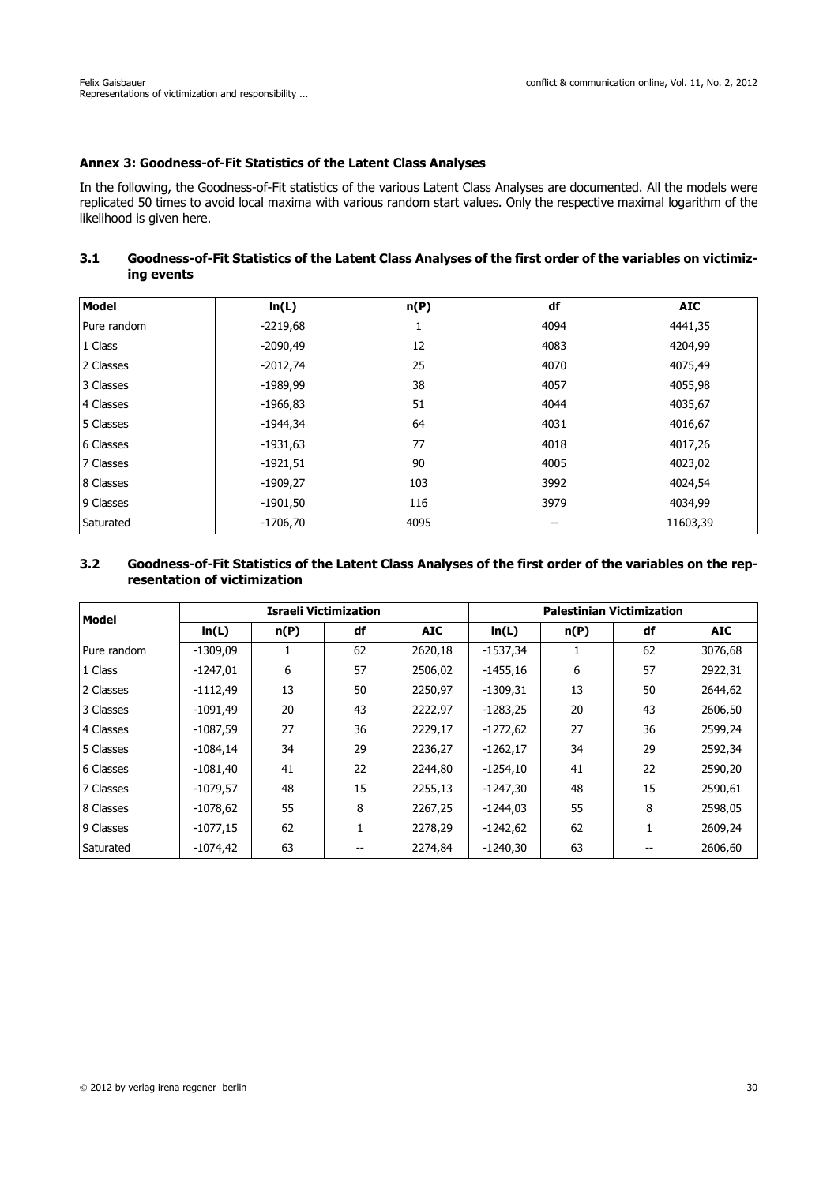# **Annex 3: Goodness-of-Fit Statistics of the Latent Class Analyses**

In the following, the Goodness-of-Fit statistics of the various Latent Class Analyses are documented. All the models were replicated 50 times to avoid local maxima with various random start values. Only the respective maximal logarithm of the likelihood is given here.

## **3.1 Goodness-of-Fit Statistics of the Latent Class Analyses of the first order of the variables on victimizing events**

| <b>Model</b> | ln(L)      | n(P)     | df   | <b>AIC</b> |
|--------------|------------|----------|------|------------|
| Pure random  | $-2219,68$ | <b>I</b> | 4094 | 4441,35    |
| 1 Class      | $-2090,49$ | 12       | 4083 | 4204,99    |
| 2 Classes    | $-2012,74$ | 25       | 4070 | 4075,49    |
| 3 Classes    | $-1989,99$ | 38       | 4057 | 4055,98    |
| 4 Classes    | $-1966,83$ | 51       | 4044 | 4035,67    |
| 5 Classes    | $-1944,34$ | 64       | 4031 | 4016,67    |
| 6 Classes    | $-1931,63$ | 77       | 4018 | 4017,26    |
| 7 Classes    | $-1921,51$ | 90       | 4005 | 4023,02    |
| 8 Classes    | $-1909,27$ | 103      | 3992 | 4024,54    |
| 9 Classes    | $-1901,50$ | 116      | 3979 | 4034,99    |
| Saturated    | $-1706,70$ | 4095     | --   | 11603,39   |

## **3.2 Goodness-of-Fit Statistics of the Latent Class Analyses of the first order of the variables on the representation of victimization**

| Model       | <b>Israeli Victimization</b> |      |    |            | <b>Palestinian Victimization</b> |      |    |            |
|-------------|------------------------------|------|----|------------|----------------------------------|------|----|------------|
|             | ln(L)                        | n(P) | df | <b>AIC</b> | ln(L)                            | n(P) | df | <b>AIC</b> |
| Pure random | $-1309,09$                   |      | 62 | 2620,18    | $-1537,34$                       |      | 62 | 3076,68    |
| 1 Class     | $-1247.01$                   | 6    | 57 | 2506,02    | $-1455.16$                       | 6    | 57 | 2922,31    |
| 2 Classes   | $-1112,49$                   | 13   | 50 | 2250.97    | $-1309,31$                       | 13   | 50 | 2644,62    |
| 3 Classes   | $-1091,49$                   | 20   | 43 | 2222,97    | $-1283,25$                       | 20   | 43 | 2606,50    |
| 4 Classes   | $-1087,59$                   | 27   | 36 | 2229,17    | $-1272,62$                       | 27   | 36 | 2599.24    |
| 5 Classes   | $-1084,14$                   | 34   | 29 | 2236,27    | $-1262,17$                       | 34   | 29 | 2592,34    |
| 6 Classes   | $-1081,40$                   | 41   | 22 | 2244.80    | $-1254,10$                       | 41   | 22 | 2590,20    |
| 7 Classes   | $-1079,57$                   | 48   | 15 | 2255,13    | -1247,30                         | 48   | 15 | 2590,61    |
| 8 Classes   | $-1078,62$                   | 55   | 8  | 2267,25    | $-1244,03$                       | 55   | 8  | 2598,05    |
| 9 Classes   | $-1077,15$                   | 62   |    | 2278.29    | $-1242,62$                       | 62   |    | 2609,24    |
| Saturated   | $-1074,42$                   | 63   |    | 2274,84    | $-1240,30$                       | 63   |    | 2606,60    |